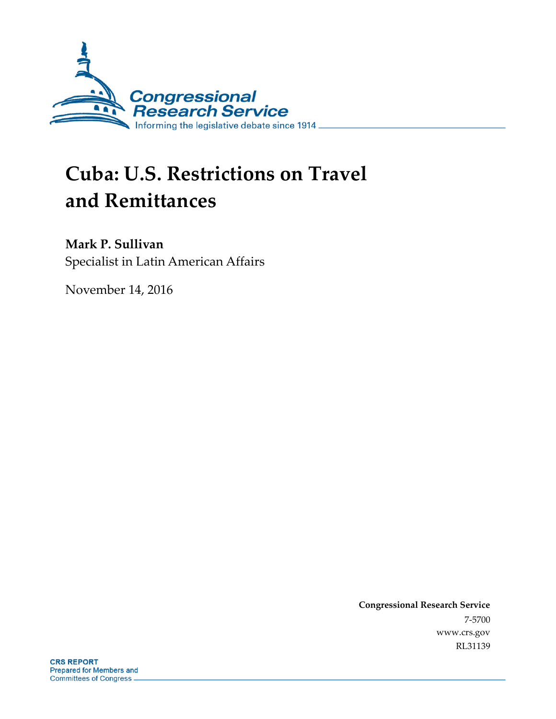

# **Cuba: U.S. Restrictions on Travel and Remittances**

## **Mark P. Sullivan**

Specialist in Latin American Affairs

November 14, 2016

**Congressional Research Service** 7-5700 www.crs.gov RL31139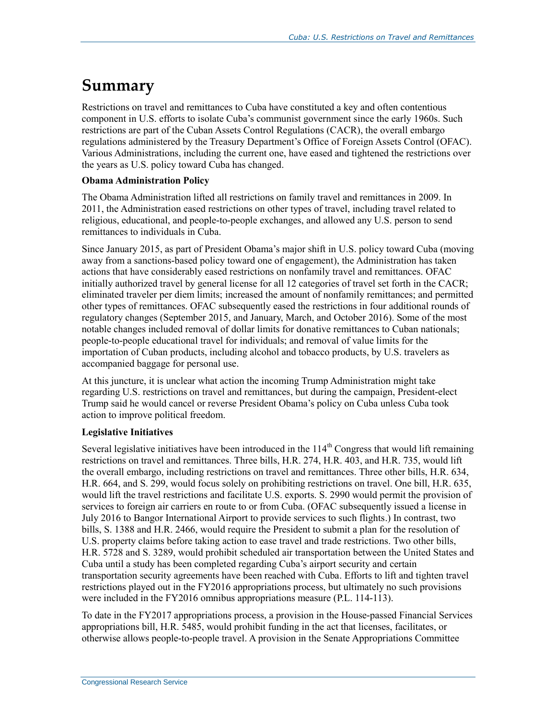# **Summary**

Restrictions on travel and remittances to Cuba have constituted a key and often contentious component in U.S. efforts to isolate Cuba's communist government since the early 1960s. Such restrictions are part of the Cuban Assets Control Regulations (CACR), the overall embargo regulations administered by the Treasury Department's Office of Foreign Assets Control (OFAC). Various Administrations, including the current one, have eased and tightened the restrictions over the years as U.S. policy toward Cuba has changed.

#### **Obama Administration Policy**

The Obama Administration lifted all restrictions on family travel and remittances in 2009. In 2011, the Administration eased restrictions on other types of travel, including travel related to religious, educational, and people-to-people exchanges, and allowed any U.S. person to send remittances to individuals in Cuba.

Since January 2015, as part of President Obama's major shift in U.S. policy toward Cuba (moving away from a sanctions-based policy toward one of engagement), the Administration has taken actions that have considerably eased restrictions on nonfamily travel and remittances. OFAC initially authorized travel by general license for all 12 categories of travel set forth in the CACR; eliminated traveler per diem limits; increased the amount of nonfamily remittances; and permitted other types of remittances. OFAC subsequently eased the restrictions in four additional rounds of regulatory changes (September 2015, and January, March, and October 2016). Some of the most notable changes included removal of dollar limits for donative remittances to Cuban nationals; people-to-people educational travel for individuals; and removal of value limits for the importation of Cuban products, including alcohol and tobacco products, by U.S. travelers as accompanied baggage for personal use.

At this juncture, it is unclear what action the incoming Trump Administration might take regarding U.S. restrictions on travel and remittances, but during the campaign, President-elect Trump said he would cancel or reverse President Obama's policy on Cuba unless Cuba took action to improve political freedom.

#### **Legislative Initiatives**

Several legislative initiatives have been introduced in the  $114<sup>th</sup>$  Congress that would lift remaining restrictions on travel and remittances. Three bills, H.R. 274, H.R. 403, and H.R. 735, would lift the overall embargo, including restrictions on travel and remittances. Three other bills, H.R. 634, H.R. 664, and S. 299, would focus solely on prohibiting restrictions on travel. One bill, H.R. 635, would lift the travel restrictions and facilitate U.S. exports. S. 2990 would permit the provision of services to foreign air carriers en route to or from Cuba. (OFAC subsequently issued a license in July 2016 to Bangor International Airport to provide services to such flights.) In contrast, two bills, S. 1388 and H.R. 2466, would require the President to submit a plan for the resolution of U.S. property claims before taking action to ease travel and trade restrictions. Two other bills, H.R. 5728 and S. 3289, would prohibit scheduled air transportation between the United States and Cuba until a study has been completed regarding Cuba's airport security and certain transportation security agreements have been reached with Cuba. Efforts to lift and tighten travel restrictions played out in the FY2016 appropriations process, but ultimately no such provisions were included in the FY2016 omnibus appropriations measure (P.L. 114-113).

To date in the FY2017 appropriations process, a provision in the House-passed Financial Services appropriations bill, H.R. 5485, would prohibit funding in the act that licenses, facilitates, or otherwise allows people-to-people travel. A provision in the Senate Appropriations Committee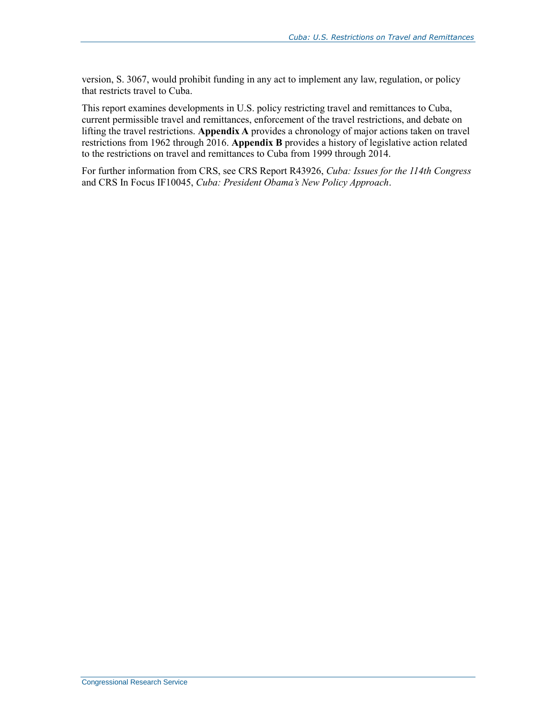version, S. 3067, would prohibit funding in any act to implement any law, regulation, or policy that restricts travel to Cuba.

This report examines developments in U.S. policy restricting travel and remittances to Cuba, current permissible travel and remittances, enforcement of the travel restrictions, and debate on lifting the travel restrictions. **[Appendix A](#page-24-0)** provides a chronology of major actions taken on travel restrictions from 1962 through 2016. **[Appendix B](#page-30-0)** provides a history of legislative action related to the restrictions on travel and remittances to Cuba from 1999 through 2014.

For further information from CRS, see CRS Report R43926, *Cuba: Issues for the 114th Congress* and CRS In Focus IF10045, *Cuba: President Obama's New Policy Approach*.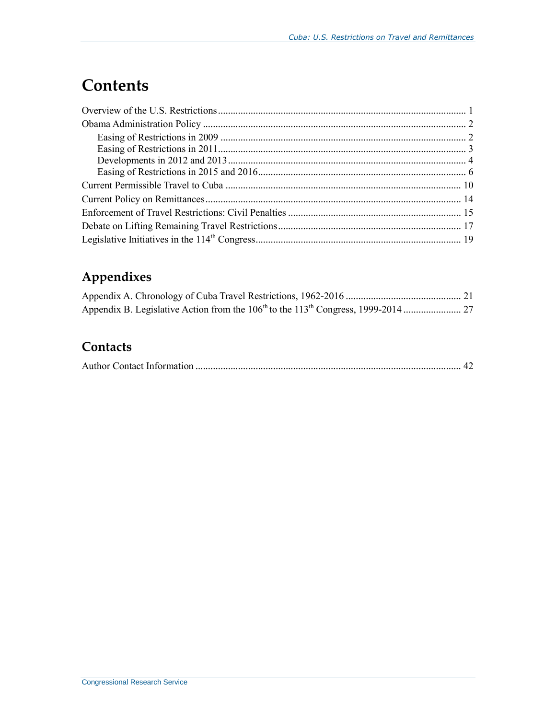# **Contents**

# **Appendixes**

# **Contacts**

|--|--|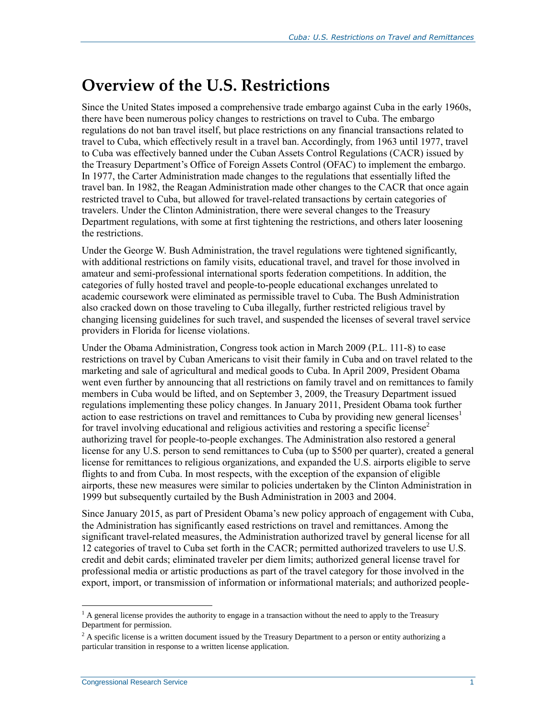# **Overview of the U.S. Restrictions**

Since the United States imposed a comprehensive trade embargo against Cuba in the early 1960s, there have been numerous policy changes to restrictions on travel to Cuba. The embargo regulations do not ban travel itself, but place restrictions on any financial transactions related to travel to Cuba, which effectively result in a travel ban. Accordingly, from 1963 until 1977, travel to Cuba was effectively banned under the Cuban Assets Control Regulations (CACR) issued by the Treasury Department's Office of Foreign Assets Control (OFAC) to implement the embargo. In 1977, the Carter Administration made changes to the regulations that essentially lifted the travel ban. In 1982, the Reagan Administration made other changes to the CACR that once again restricted travel to Cuba, but allowed for travel-related transactions by certain categories of travelers. Under the Clinton Administration, there were several changes to the Treasury Department regulations, with some at first tightening the restrictions, and others later loosening the restrictions.

Under the George W. Bush Administration, the travel regulations were tightened significantly, with additional restrictions on family visits, educational travel, and travel for those involved in amateur and semi-professional international sports federation competitions. In addition, the categories of fully hosted travel and people-to-people educational exchanges unrelated to academic coursework were eliminated as permissible travel to Cuba. The Bush Administration also cracked down on those traveling to Cuba illegally, further restricted religious travel by changing licensing guidelines for such travel, and suspended the licenses of several travel service providers in Florida for license violations.

Under the Obama Administration, Congress took action in March 2009 (P.L. 111-8) to ease restrictions on travel by Cuban Americans to visit their family in Cuba and on travel related to the marketing and sale of agricultural and medical goods to Cuba. In April 2009, President Obama went even further by announcing that all restrictions on family travel and on remittances to family members in Cuba would be lifted, and on September 3, 2009, the Treasury Department issued regulations implementing these policy changes. In January 2011, President Obama took further action to ease restrictions on travel and remittances to Cuba by providing new general licenses<sup>1</sup> for travel involving educational and religious activities and restoring a specific license<sup>2</sup> authorizing travel for people-to-people exchanges. The Administration also restored a general license for any U.S. person to send remittances to Cuba (up to \$500 per quarter), created a general license for remittances to religious organizations, and expanded the U.S. airports eligible to serve flights to and from Cuba. In most respects, with the exception of the expansion of eligible airports, these new measures were similar to policies undertaken by the Clinton Administration in 1999 but subsequently curtailed by the Bush Administration in 2003 and 2004.

Since January 2015, as part of President Obama's new policy approach of engagement with Cuba, the Administration has significantly eased restrictions on travel and remittances. Among the significant travel-related measures, the Administration authorized travel by general license for all 12 categories of travel to Cuba set forth in the CACR; permitted authorized travelers to use U.S. credit and debit cards; eliminated traveler per diem limits; authorized general license travel for professional media or artistic productions as part of the travel category for those involved in the export, import, or transmission of information or informational materials; and authorized people-

 $1$  A general license provides the authority to engage in a transaction without the need to apply to the Treasury Department for permission.

 $2$  A specific license is a written document issued by the Treasury Department to a person or entity authorizing a particular transition in response to a written license application.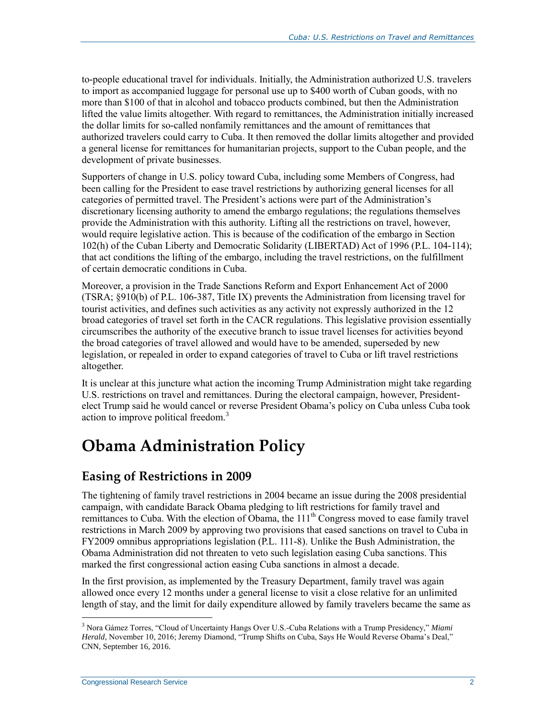to-people educational travel for individuals. Initially, the Administration authorized U.S. travelers to import as accompanied luggage for personal use up to \$400 worth of Cuban goods, with no more than \$100 of that in alcohol and tobacco products combined, but then the Administration lifted the value limits altogether. With regard to remittances, the Administration initially increased the dollar limits for so-called nonfamily remittances and the amount of remittances that authorized travelers could carry to Cuba. It then removed the dollar limits altogether and provided a general license for remittances for humanitarian projects, support to the Cuban people, and the development of private businesses.

Supporters of change in U.S. policy toward Cuba, including some Members of Congress, had been calling for the President to ease travel restrictions by authorizing general licenses for all categories of permitted travel. The President's actions were part of the Administration's discretionary licensing authority to amend the embargo regulations; the regulations themselves provide the Administration with this authority. Lifting all the restrictions on travel, however, would require legislative action. This is because of the codification of the embargo in Section 102(h) of the Cuban Liberty and Democratic Solidarity (LIBERTAD) Act of 1996 (P.L. 104-114); that act conditions the lifting of the embargo, including the travel restrictions, on the fulfillment of certain democratic conditions in Cuba.

Moreover, a provision in the Trade Sanctions Reform and Export Enhancement Act of 2000 (TSRA; §910(b) of P.L. 106-387, Title IX) prevents the Administration from licensing travel for tourist activities, and defines such activities as any activity not expressly authorized in the 12 broad categories of travel set forth in the CACR regulations. This legislative provision essentially circumscribes the authority of the executive branch to issue travel licenses for activities beyond the broad categories of travel allowed and would have to be amended, superseded by new legislation, or repealed in order to expand categories of travel to Cuba or lift travel restrictions altogether.

It is unclear at this juncture what action the incoming Trump Administration might take regarding U.S. restrictions on travel and remittances. During the electoral campaign, however, Presidentelect Trump said he would cancel or reverse President Obama's policy on Cuba unless Cuba took action to improve political freedom.<sup>3</sup>

# **Obama Administration Policy**

## **Easing of Restrictions in 2009**

The tightening of family travel restrictions in 2004 became an issue during the 2008 presidential campaign, with candidate Barack Obama pledging to lift restrictions for family travel and remittances to Cuba. With the election of Obama, the 111<sup>th</sup> Congress moved to ease family travel restrictions in March 2009 by approving two provisions that eased sanctions on travel to Cuba in FY2009 omnibus appropriations legislation (P.L. 111-8). Unlike the Bush Administration, the Obama Administration did not threaten to veto such legislation easing Cuba sanctions. This marked the first congressional action easing Cuba sanctions in almost a decade.

In the first provision, as implemented by the Treasury Department, family travel was again allowed once every 12 months under a general license to visit a close relative for an unlimited length of stay, and the limit for daily expenditure allowed by family travelers became the same as

<sup>3</sup> Nora Gámez Torres, "Cloud of Uncertainty Hangs Over U.S.-Cuba Relations with a Trump Presidency," *Miami Herald*, November 10, 2016; Jeremy Diamond, "Trump Shifts on Cuba, Says He Would Reverse Obama's Deal," CNN, September 16, 2016.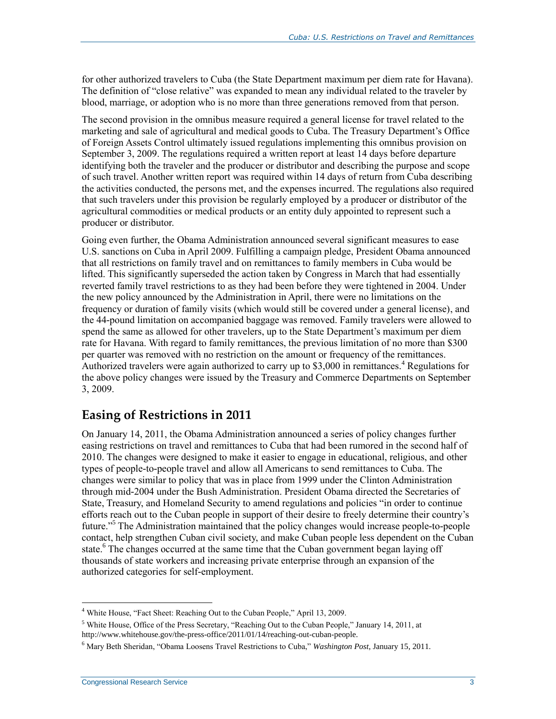for other authorized travelers to Cuba (the State Department maximum per diem rate for Havana). The definition of "close relative" was expanded to mean any individual related to the traveler by blood, marriage, or adoption who is no more than three generations removed from that person.

The second provision in the omnibus measure required a general license for travel related to the marketing and sale of agricultural and medical goods to Cuba. The Treasury Department's Office of Foreign Assets Control ultimately issued regulations implementing this omnibus provision on September 3, 2009. The regulations required a written report at least 14 days before departure identifying both the traveler and the producer or distributor and describing the purpose and scope of such travel. Another written report was required within 14 days of return from Cuba describing the activities conducted, the persons met, and the expenses incurred. The regulations also required that such travelers under this provision be regularly employed by a producer or distributor of the agricultural commodities or medical products or an entity duly appointed to represent such a producer or distributor.

Going even further, the Obama Administration announced several significant measures to ease U.S. sanctions on Cuba in April 2009. Fulfilling a campaign pledge, President Obama announced that all restrictions on family travel and on remittances to family members in Cuba would be lifted. This significantly superseded the action taken by Congress in March that had essentially reverted family travel restrictions to as they had been before they were tightened in 2004. Under the new policy announced by the Administration in April, there were no limitations on the frequency or duration of family visits (which would still be covered under a general license), and the 44-pound limitation on accompanied baggage was removed. Family travelers were allowed to spend the same as allowed for other travelers, up to the State Department's maximum per diem rate for Havana. With regard to family remittances, the previous limitation of no more than \$300 per quarter was removed with no restriction on the amount or frequency of the remittances. Authorized travelers were again authorized to carry up to \$3,000 in remittances.<sup>4</sup> Regulations for the above policy changes were issued by the Treasury and Commerce Departments on September 3, 2009.

### **Easing of Restrictions in 2011**

On January 14, 2011, the Obama Administration announced a series of policy changes further easing restrictions on travel and remittances to Cuba that had been rumored in the second half of 2010. The changes were designed to make it easier to engage in educational, religious, and other types of people-to-people travel and allow all Americans to send remittances to Cuba. The changes were similar to policy that was in place from 1999 under the Clinton Administration through mid-2004 under the Bush Administration. President Obama directed the Secretaries of State, Treasury, and Homeland Security to amend regulations and policies "in order to continue efforts reach out to the Cuban people in support of their desire to freely determine their country's future."<sup>5</sup> The Administration maintained that the policy changes would increase people-to-people contact, help strengthen Cuban civil society, and make Cuban people less dependent on the Cuban state.<sup>6</sup> The changes occurred at the same time that the Cuban government began laying off thousands of state workers and increasing private enterprise through an expansion of the authorized categories for self-employment.

<sup>4</sup> White House, "Fact Sheet: Reaching Out to the Cuban People," April 13, 2009.

<sup>&</sup>lt;sup>5</sup> White House, Office of the Press Secretary, "Reaching Out to the Cuban People," January 14, 2011, at http://www.whitehouse.gov/the-press-office/2011/01/14/reaching-out-cuban-people.

<sup>6</sup> Mary Beth Sheridan, "Obama Loosens Travel Restrictions to Cuba," *Washington Post*, January 15, 2011.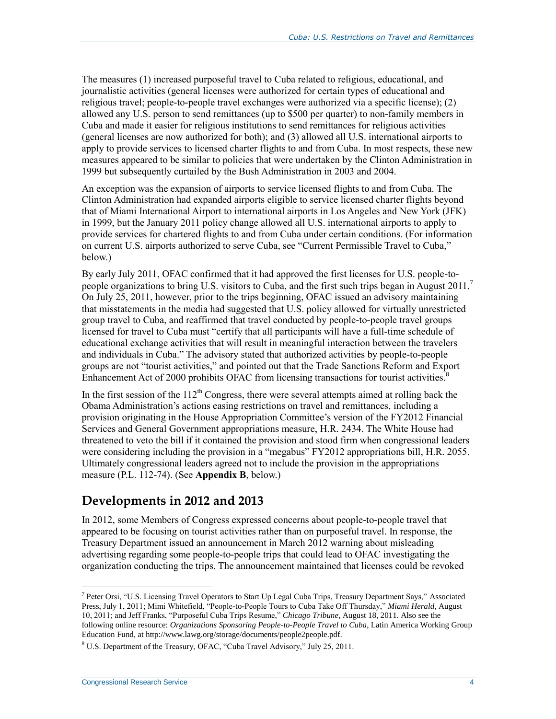The measures (1) increased purposeful travel to Cuba related to religious, educational, and journalistic activities (general licenses were authorized for certain types of educational and religious travel; people-to-people travel exchanges were authorized via a specific license); (2) allowed any U.S. person to send remittances (up to \$500 per quarter) to non-family members in Cuba and made it easier for religious institutions to send remittances for religious activities (general licenses are now authorized for both); and (3) allowed all U.S. international airports to apply to provide services to licensed charter flights to and from Cuba. In most respects, these new measures appeared to be similar to policies that were undertaken by the Clinton Administration in 1999 but subsequently curtailed by the Bush Administration in 2003 and 2004.

An exception was the expansion of airports to service licensed flights to and from Cuba. The Clinton Administration had expanded airports eligible to service licensed charter flights beyond that of Miami International Airport to international airports in Los Angeles and New York (JFK) in 1999, but the January 2011 policy change allowed all U.S. international airports to apply to provide services for chartered flights to and from Cuba under certain conditions. (For information on current U.S. airports authorized to serve Cuba, see ["Current Permissible Travel to Cuba,](#page-13-0)" below.)

By early July 2011, OFAC confirmed that it had approved the first licenses for U.S. people-topeople organizations to bring U.S. visitors to Cuba, and the first such trips began in August 2011.<sup>7</sup> On July 25, 2011, however, prior to the trips beginning, OFAC issued an advisory maintaining that misstatements in the media had suggested that U.S. policy allowed for virtually unrestricted group travel to Cuba, and reaffirmed that travel conducted by people-to-people travel groups licensed for travel to Cuba must "certify that all participants will have a full-time schedule of educational exchange activities that will result in meaningful interaction between the travelers and individuals in Cuba." The advisory stated that authorized activities by people-to-people groups are not "tourist activities," and pointed out that the Trade Sanctions Reform and Export Enhancement Act of 2000 prohibits OFAC from licensing transactions for tourist activities.<sup>8</sup>

In the first session of the  $112<sup>th</sup>$  Congress, there were several attempts aimed at rolling back the Obama Administration's actions easing restrictions on travel and remittances, including a provision originating in the House Appropriation Committee's version of the FY2012 Financial Services and General Government appropriations measure, H.R. 2434. The White House had threatened to veto the bill if it contained the provision and stood firm when congressional leaders were considering including the provision in a "megabus" FY2012 appropriations bill, H.R. 2055. Ultimately congressional leaders agreed not to include the provision in the appropriations measure (P.L. 112-74). (See **[Appendix B](#page-30-0)**, below.)

### **Developments in 2012 and 2013**

In 2012, some Members of Congress expressed concerns about people-to-people travel that appeared to be focusing on tourist activities rather than on purposeful travel. In response, the Treasury Department issued an announcement in March 2012 warning about misleading advertising regarding some people-to-people trips that could lead to OFAC investigating the organization conducting the trips. The announcement maintained that licenses could be revoked

 $\overline{a}$ 7 Peter Orsi, "U.S. Licensing Travel Operators to Start Up Legal Cuba Trips, Treasury Department Says," Associated Press, July 1, 2011; Mimi Whitefield, "People-to-People Tours to Cuba Take Off Thursday," *Miami Herald*, August 10, 2011; and Jeff Franks, "Purposeful Cuba Trips Resume," *Chicago Tribune*, August 18, 2011. Also see the following online resource: *Organizations Sponsoring People-to-People Travel to Cuba*, Latin America Working Group Education Fund, at http://www.lawg.org/storage/documents/people2people.pdf.

<sup>8</sup> U.S. Department of the Treasury, OFAC, "Cuba Travel Advisory," July 25, 2011.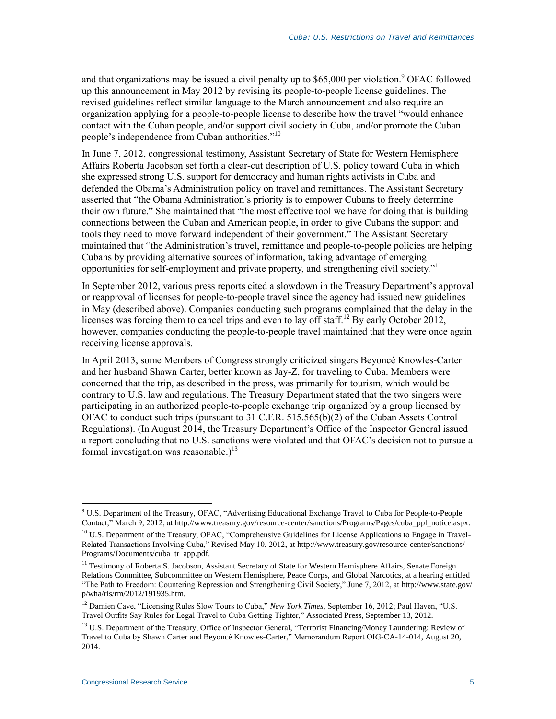and that organizations may be issued a civil penalty up to \$65,000 per violation.<sup>9</sup> OFAC followed up this announcement in May 2012 by revising its people-to-people license guidelines. The revised guidelines reflect similar language to the March announcement and also require an organization applying for a people-to-people license to describe how the travel "would enhance contact with the Cuban people, and/or support civil society in Cuba, and/or promote the Cuban people's independence from Cuban authorities."<sup>10</sup>

In June 7, 2012, congressional testimony, Assistant Secretary of State for Western Hemisphere Affairs Roberta Jacobson set forth a clear-cut description of U.S. policy toward Cuba in which she expressed strong U.S. support for democracy and human rights activists in Cuba and defended the Obama's Administration policy on travel and remittances. The Assistant Secretary asserted that "the Obama Administration's priority is to empower Cubans to freely determine their own future." She maintained that "the most effective tool we have for doing that is building connections between the Cuban and American people, in order to give Cubans the support and tools they need to move forward independent of their government." The Assistant Secretary maintained that "the Administration's travel, remittance and people-to-people policies are helping Cubans by providing alternative sources of information, taking advantage of emerging opportunities for self-employment and private property, and strengthening civil society."<sup>11</sup>

In September 2012, various press reports cited a slowdown in the Treasury Department's approval or reapproval of licenses for people-to-people travel since the agency had issued new guidelines in May (described above). Companies conducting such programs complained that the delay in the licenses was forcing them to cancel trips and even to lay off staff.<sup>12</sup> By early October 2012, however, companies conducting the people-to-people travel maintained that they were once again receiving license approvals.

In April 2013, some Members of Congress strongly criticized singers Beyoncé Knowles-Carter and her husband Shawn Carter, better known as Jay-Z, for traveling to Cuba. Members were concerned that the trip, as described in the press, was primarily for tourism, which would be contrary to U.S. law and regulations. The Treasury Department stated that the two singers were participating in an authorized people-to-people exchange trip organized by a group licensed by OFAC to conduct such trips (pursuant to 31 C.F.R. 515.565(b)(2) of the Cuban Assets Control Regulations). (In August 2014, the Treasury Department's Office of the Inspector General issued a report concluding that no U.S. sanctions were violated and that OFAC's decision not to pursue a formal investigation was reasonable.)<sup>13</sup>

 $\overline{a}$ <sup>9</sup> U.S. Department of the Treasury, OFAC, "Advertising Educational Exchange Travel to Cuba for People-to-People Contact," March 9, 2012, at http://www.treasury.gov/resource-center/sanctions/Programs/Pages/cuba\_ppl\_notice.aspx.

<sup>&</sup>lt;sup>10</sup> U.S. Department of the Treasury, OFAC, "Comprehensive Guidelines for License Applications to Engage in Travel-Related Transactions Involving Cuba," Revised May 10, 2012, at http://www.treasury.gov/resource-center/sanctions/ Programs/Documents/cuba\_tr\_app.pdf.

<sup>&</sup>lt;sup>11</sup> Testimony of Roberta S. Jacobson, Assistant Secretary of State for Western Hemisphere Affairs, Senate Foreign Relations Committee, Subcommittee on Western Hemisphere, Peace Corps, and Global Narcotics, at a hearing entitled "The Path to Freedom: Countering Repression and Strengthening Civil Society," June 7, 2012, at http://www.state.gov/ p/wha/rls/rm/2012/191935.htm.

<sup>&</sup>lt;sup>12</sup> Damien Cave, "Licensing Rules Slow Tours to Cuba," *New York Times*, September 16, 2012; Paul Haven, "U.S. Travel Outfits Say Rules for Legal Travel to Cuba Getting Tighter," Associated Press, September 13, 2012.

<sup>&</sup>lt;sup>13</sup> U.S. Department of the Treasury, Office of Inspector General, "Terrorist Financing/Money Laundering: Review of Travel to Cuba by Shawn Carter and Beyoncé Knowles-Carter," Memorandum Report OIG-CA-14-014, August 20, 2014.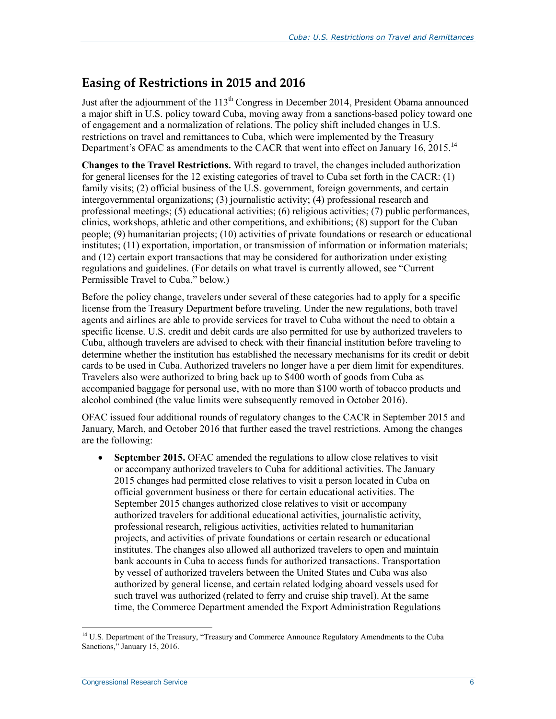## <span id="page-9-0"></span>**Easing of Restrictions in 2015 and 2016**

Just after the adjournment of the  $113<sup>th</sup>$  Congress in December 2014, President Obama announced a major shift in U.S. policy toward Cuba, moving away from a sanctions-based policy toward one of engagement and a normalization of relations. The policy shift included changes in U.S. restrictions on travel and remittances to Cuba, which were implemented by the Treasury Department's OFAC as amendments to the CACR that went into effect on January 16, 2015.<sup>14</sup>

**Changes to the Travel Restrictions.** With regard to travel, the changes included authorization for general licenses for the 12 existing categories of travel to Cuba set forth in the CACR: (1) family visits; (2) official business of the U.S. government, foreign governments, and certain intergovernmental organizations; (3) journalistic activity; (4) professional research and professional meetings; (5) educational activities; (6) religious activities; (7) public performances, clinics, workshops, athletic and other competitions, and exhibitions; (8) support for the Cuban people; (9) humanitarian projects; (10) activities of private foundations or research or educational institutes; (11) exportation, importation, or transmission of information or information materials; and (12) certain export transactions that may be considered for authorization under existing regulations and guidelines. (For details on what travel is currently allowed, see ["Current](#page-13-0)  [Permissible Travel to Cuba,](#page-13-0)" below.)

Before the policy change, travelers under several of these categories had to apply for a specific license from the Treasury Department before traveling. Under the new regulations, both travel agents and airlines are able to provide services for travel to Cuba without the need to obtain a specific license. U.S. credit and debit cards are also permitted for use by authorized travelers to Cuba, although travelers are advised to check with their financial institution before traveling to determine whether the institution has established the necessary mechanisms for its credit or debit cards to be used in Cuba. Authorized travelers no longer have a per diem limit for expenditures. Travelers also were authorized to bring back up to \$400 worth of goods from Cuba as accompanied baggage for personal use, with no more than \$100 worth of tobacco products and alcohol combined (the value limits were subsequently removed in October 2016).

OFAC issued four additional rounds of regulatory changes to the CACR in September 2015 and January, March, and October 2016 that further eased the travel restrictions. Among the changes are the following:

 **September 2015.** OFAC amended the regulations to allow close relatives to visit or accompany authorized travelers to Cuba for additional activities. The January 2015 changes had permitted close relatives to visit a person located in Cuba on official government business or there for certain educational activities. The September 2015 changes authorized close relatives to visit or accompany authorized travelers for additional educational activities, journalistic activity, professional research, religious activities, activities related to humanitarian projects, and activities of private foundations or certain research or educational institutes. The changes also allowed all authorized travelers to open and maintain bank accounts in Cuba to access funds for authorized transactions. Transportation by vessel of authorized travelers between the United States and Cuba was also authorized by general license, and certain related lodging aboard vessels used for such travel was authorized (related to ferry and cruise ship travel). At the same time, the Commerce Department amended the Export Administration Regulations

<sup>&</sup>lt;sup>14</sup> U.S. Department of the Treasury, "Treasury and Commerce Announce Regulatory Amendments to the Cuba Sanctions," January 15, 2016.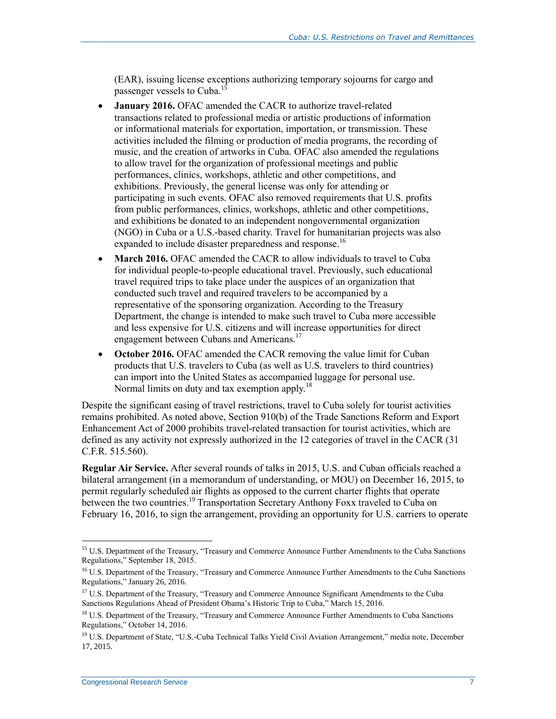(EAR), issuing license exceptions authorizing temporary sojourns for cargo and passenger vessels to Cuba.<sup>15</sup>

- **January 2016.** OFAC amended the CACR to authorize travel-related transactions related to professional media or artistic productions of information or informational materials for exportation, importation, or transmission. These activities included the filming or production of media programs, the recording of music, and the creation of artworks in Cuba. OFAC also amended the regulations to allow travel for the organization of professional meetings and public performances, clinics, workshops, athletic and other competitions, and exhibitions. Previously, the general license was only for attending or participating in such events. OFAC also removed requirements that U.S. profits from public performances, clinics, workshops, athletic and other competitions, and exhibitions be donated to an independent nongovernmental organization (NGO) in Cuba or a U.S.-based charity. Travel for humanitarian projects was also expanded to include disaster preparedness and response.<sup>16</sup>
- **March 2016.** OFAC amended the CACR to allow individuals to travel to Cuba for individual people-to-people educational travel. Previously, such educational travel required trips to take place under the auspices of an organization that conducted such travel and required travelers to be accompanied by a representative of the sponsoring organization. According to the Treasury Department, the change is intended to make such travel to Cuba more accessible and less expensive for U.S. citizens and will increase opportunities for direct engagement between Cubans and Americans.<sup>17</sup>
- **October 2016.** OFAC amended the CACR removing the value limit for Cuban products that U.S. travelers to Cuba (as well as U.S. travelers to third countries) can import into the United States as accompanied luggage for personal use. Normal limits on duty and tax exemption apply.<sup>18</sup>

Despite the significant easing of travel restrictions, travel to Cuba solely for tourist activities remains prohibited. As noted above, Section 910(b) of the Trade Sanctions Reform and Export Enhancement Act of 2000 prohibits travel-related transaction for tourist activities, which are defined as any activity not expressly authorized in the 12 categories of travel in the CACR (31 C.F.R. 515.560).

**Regular Air Service.** After several rounds of talks in 2015, U.S. and Cuban officials reached a bilateral arrangement (in a memorandum of understanding, or MOU) on December 16, 2015, to permit regularly scheduled air flights as opposed to the current charter flights that operate between the two countries.<sup>19</sup> Transportation Secretary Anthony Foxx traveled to Cuba on February 16, 2016, to sign the arrangement, providing an opportunity for U.S. carriers to operate

<sup>&</sup>lt;sup>15</sup> U.S. Department of the Treasury, "Treasury and Commerce Announce Further Amendments to the Cuba Sanctions Regulations," September 18, 2015.

<sup>&</sup>lt;sup>16</sup> U.S. Department of the Treasury, "Treasury and Commerce Announce Further Amendments to the Cuba Sanctions Regulations," January 26, 2016.

<sup>&</sup>lt;sup>17</sup> U.S. Department of the Treasury, "Treasury and Commerce Announce Significant Amendments to the Cuba Sanctions Regulations Ahead of President Obama's Historic Trip to Cuba," March 15, 2016.

<sup>&</sup>lt;sup>18</sup> U.S. Department of the Treasury, "Treasury and Commerce Announce Further Amendments to Cuba Sanctions Regulations," October 14, 2016.

<sup>&</sup>lt;sup>19</sup> U.S. Department of State, "U.S.-Cuba Technical Talks Yield Civil Aviation Arrangement," media note, December 17, 2015.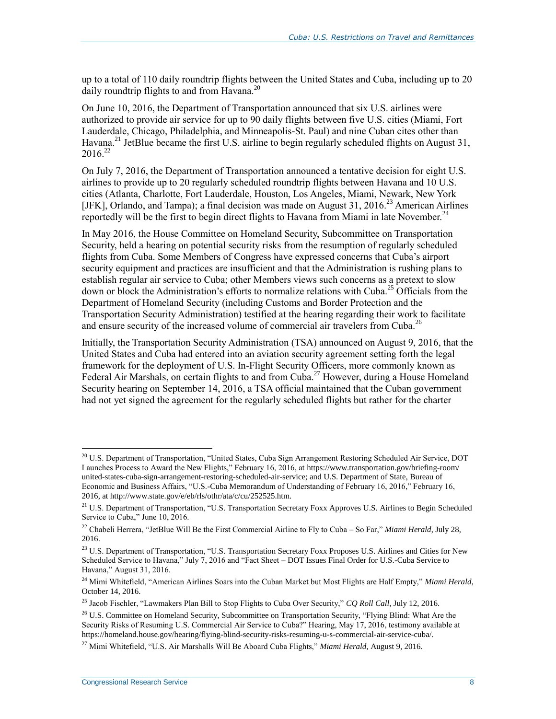up to a total of 110 daily roundtrip flights between the United States and Cuba, including up to 20 daily roundtrip flights to and from Havana.<sup>20</sup>

On June 10, 2016, the Department of Transportation announced that six U.S. airlines were authorized to provide air service for up to 90 daily flights between five U.S. cities (Miami, Fort Lauderdale, Chicago, Philadelphia, and Minneapolis-St. Paul) and nine Cuban cites other than Havana.<sup>21</sup> JetBlue became the first U.S. airline to begin regularly scheduled flights on August 31,  $2016^{22}$ 

On July 7, 2016, the Department of Transportation announced a tentative decision for eight U.S. airlines to provide up to 20 regularly scheduled roundtrip flights between Havana and 10 U.S. cities (Atlanta, Charlotte, Fort Lauderdale, Houston, Los Angeles, Miami, Newark, New York [JFK], Orlando, and Tampa); a final decision was made on August 31, 2016.<sup>23</sup> American Airlines reportedly will be the first to begin direct flights to Havana from Miami in late November.<sup>24</sup>

In May 2016, the House Committee on Homeland Security, Subcommittee on Transportation Security, held a hearing on potential security risks from the resumption of regularly scheduled flights from Cuba. Some Members of Congress have expressed concerns that Cuba's airport security equipment and practices are insufficient and that the Administration is rushing plans to establish regular air service to Cuba; other Members views such concerns as a pretext to slow down or block the Administration's efforts to normalize relations with Cuba.<sup>25</sup> Officials from the Department of Homeland Security (including Customs and Border Protection and the Transportation Security Administration) testified at the hearing regarding their work to facilitate and ensure security of the increased volume of commercial air travelers from Cuba.<sup>26</sup>

Initially, the Transportation Security Administration (TSA) announced on August 9, 2016, that the United States and Cuba had entered into an aviation security agreement setting forth the legal framework for the deployment of U.S. In-Flight Security Officers, more commonly known as Federal Air Marshals, on certain flights to and from Cuba.<sup>27</sup> However, during a House Homeland Security hearing on September 14, 2016, a TSA official maintained that the Cuban government had not yet signed the agreement for the regularly scheduled flights but rather for the charter

<sup>&</sup>lt;sup>20</sup> U.S. Department of Transportation, "United States, Cuba Sign Arrangement Restoring Scheduled Air Service, DOT Launches Process to Award the New Flights," February 16, 2016, at https://www.transportation.gov/briefing-room/ united-states-cuba-sign-arrangement-restoring-scheduled-air-service; and U.S. Department of State, Bureau of Economic and Business Affairs, "U.S.-Cuba Memorandum of Understanding of February 16, 2016," February 16, 2016, at http://www.state.gov/e/eb/rls/othr/ata/c/cu/252525.htm.

<sup>&</sup>lt;sup>21</sup> U.S. Department of Transportation, "U.S. Transportation Secretary Foxx Approves U.S. Airlines to Begin Scheduled Service to Cuba," June 10, 2016.

<sup>22</sup> Chabeli Herrera, "JetBlue Will Be the First Commercial Airline to Fly to Cuba – So Far," *Miami Herald*, July 28, 2016.

<sup>&</sup>lt;sup>23</sup> U.S. Department of Transportation, "U.S. Transportation Secretary Foxx Proposes U.S. Airlines and Cities for New Scheduled Service to Havana," July 7, 2016 and "Fact Sheet – DOT Issues Final Order for U.S.-Cuba Service to Havana," August 31, 2016.

<sup>24</sup> Mimi Whitefield, "American Airlines Soars into the Cuban Market but Most Flights are Half Empty," *Miami Herald*, October 14, 2016.

<sup>25</sup> Jacob Fischler, "Lawmakers Plan Bill to Stop Flights to Cuba Over Security," *CQ Roll Call*, July 12, 2016.

<sup>&</sup>lt;sup>26</sup> U.S. Committee on Homeland Security, Subcommittee on Transportation Security, "Flying Blind: What Are the Security Risks of Resuming U.S. Commercial Air Service to Cuba?" Hearing, May 17, 2016, testimony available at https://homeland.house.gov/hearing/flying-blind-security-risks-resuming-u-s-commercial-air-service-cuba/.

<sup>27</sup> Mimi Whitefield, "U.S. Air Marshalls Will Be Aboard Cuba Flights," *Miami Herald*, August 9, 2016.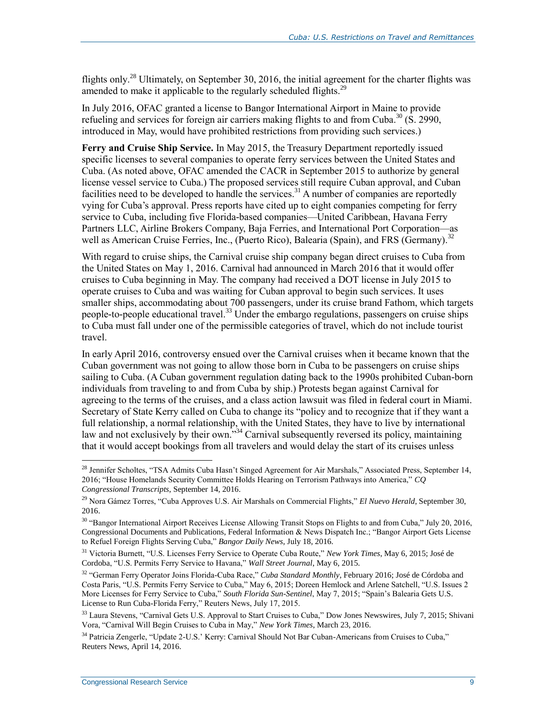flights only.<sup>28</sup> Ultimately, on September 30, 2016, the initial agreement for the charter flights was amended to make it applicable to the regularly scheduled flights.<sup>29</sup>

In July 2016, OFAC granted a license to Bangor International Airport in Maine to provide refueling and services for foreign air carriers making flights to and from Cuba.<sup>30</sup> (S. 2990, introduced in May, would have prohibited restrictions from providing such services.)

**Ferry and Cruise Ship Service.** In May 2015, the Treasury Department reportedly issued specific licenses to several companies to operate ferry services between the United States and Cuba. (As noted above, OFAC amended the CACR in September 2015 to authorize by general license vessel service to Cuba.) The proposed services still require Cuban approval, and Cuban facilities need to be developed to handle the services.<sup>31</sup> A number of companies are reportedly vying for Cuba's approval. Press reports have cited up to eight companies competing for ferry service to Cuba, including five Florida-based companies—United Caribbean, Havana Ferry Partners LLC, Airline Brokers Company, Baja Ferries, and International Port Corporation—as well as American Cruise Ferries, Inc., (Puerto Rico), Balearia (Spain), and FRS (Germany).<sup>32</sup>

With regard to cruise ships, the Carnival cruise ship company began direct cruises to Cuba from the United States on May 1, 2016. Carnival had announced in March 2016 that it would offer cruises to Cuba beginning in May. The company had received a DOT license in July 2015 to operate cruises to Cuba and was waiting for Cuban approval to begin such services. It uses smaller ships, accommodating about 700 passengers, under its cruise brand Fathom, which targets people-to-people educational travel.<sup>33</sup> Under the embargo regulations, passengers on cruise ships to Cuba must fall under one of the permissible categories of travel, which do not include tourist travel.

In early April 2016, controversy ensued over the Carnival cruises when it became known that the Cuban government was not going to allow those born in Cuba to be passengers on cruise ships sailing to Cuba. (A Cuban government regulation dating back to the 1990s prohibited Cuban-born individuals from traveling to and from Cuba by ship.) Protests began against Carnival for agreeing to the terms of the cruises, and a class action lawsuit was filed in federal court in Miami. Secretary of State Kerry called on Cuba to change its "policy and to recognize that if they want a full relationship, a normal relationship, with the United States, they have to live by international law and not exclusively by their own."<sup>34</sup> Carnival subsequently reversed its policy, maintaining that it would accept bookings from all travelers and would delay the start of its cruises unless

<sup>&</sup>lt;sup>28</sup> Jennifer Scholtes, "TSA Admits Cuba Hasn't Singed Agreement for Air Marshals," Associated Press, September 14, 2016; "House Homelands Security Committee Holds Hearing on Terrorism Pathways into America," *CQ Congressional Transcripts*, September 14, 2016.

<sup>29</sup> Nora Gámez Torres, "Cuba Approves U.S. Air Marshals on Commercial Flights," *El Nuevo Herald*, September 30, 2016.

<sup>&</sup>lt;sup>30</sup> "Bangor International Airport Receives License Allowing Transit Stops on Flights to and from Cuba," July 20, 2016, Congressional Documents and Publications, Federal Information & News Dispatch Inc.; "Bangor Airport Gets License to Refuel Foreign Flights Serving Cuba," *Bangor Daily News*, July 18, 2016.

<sup>31</sup> Victoria Burnett, "U.S. Licenses Ferry Service to Operate Cuba Route," *New York Times*, May 6, 2015; José de Cordoba, "U.S. Permits Ferry Service to Havana," *Wall Street Journal*, May 6, 2015.

<sup>32</sup> "German Ferry Operator Joins Florida-Cuba Race," *Cuba Standard Monthly*, February 2016; José de Córdoba and Costa Paris, "U.S. Permits Ferry Service to Cuba," May 6, 2015; Doreen Hemlock and Arlene Satchell, "U.S. Issues 2 More Licenses for Ferry Service to Cuba," *South Florida Sun-Sentinel*, May 7, 2015; "Spain's Balearia Gets U.S. License to Run Cuba-Florida Ferry," Reuters News, July 17, 2015.

<sup>&</sup>lt;sup>33</sup> Laura Stevens, "Carnival Gets U.S. Approval to Start Cruises to Cuba," Dow Jones Newswires, July 7, 2015; Shivani Vora, "Carnival Will Begin Cruises to Cuba in May," *New York Times*, March 23, 2016.

<sup>34</sup> Patricia Zengerle, "Update 2-U.S.' Kerry: Carnival Should Not Bar Cuban-Americans from Cruises to Cuba," Reuters News, April 14, 2016.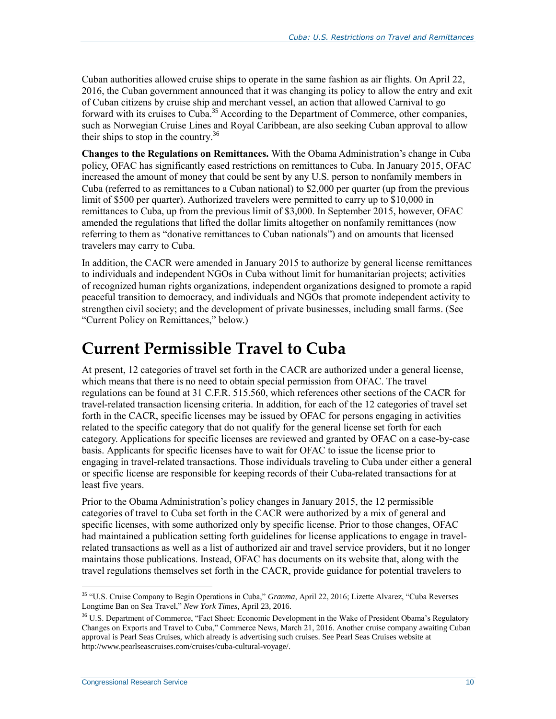Cuban authorities allowed cruise ships to operate in the same fashion as air flights. On April 22, 2016, the Cuban government announced that it was changing its policy to allow the entry and exit of Cuban citizens by cruise ship and merchant vessel, an action that allowed Carnival to go forward with its cruises to Cuba.<sup>35</sup> According to the Department of Commerce, other companies, such as Norwegian Cruise Lines and Royal Caribbean, are also seeking Cuban approval to allow their ships to stop in the country. 36

**Changes to the Regulations on Remittances.** With the Obama Administration's change in Cuba policy, OFAC has significantly eased restrictions on remittances to Cuba. In January 2015, OFAC increased the amount of money that could be sent by any U.S. person to nonfamily members in Cuba (referred to as remittances to a Cuban national) to \$2,000 per quarter (up from the previous limit of \$500 per quarter). Authorized travelers were permitted to carry up to \$10,000 in remittances to Cuba, up from the previous limit of \$3,000. In September 2015, however, OFAC amended the regulations that lifted the dollar limits altogether on nonfamily remittances (now referring to them as "donative remittances to Cuban nationals") and on amounts that licensed travelers may carry to Cuba.

In addition, the CACR were amended in January 2015 to authorize by general license remittances to individuals and independent NGOs in Cuba without limit for humanitarian projects; activities of recognized human rights organizations, independent organizations designed to promote a rapid peaceful transition to democracy, and individuals and NGOs that promote independent activity to strengthen civil society; and the development of private businesses, including small farms. (See ["Current Policy on Remittances,](#page-17-0)" below.)

# <span id="page-13-0"></span>**Current Permissible Travel to Cuba**

At present, 12 categories of travel set forth in the CACR are authorized under a general license, which means that there is no need to obtain special permission from OFAC. The travel regulations can be found at 31 C.F.R. 515.560, which references other sections of the CACR for travel-related transaction licensing criteria. In addition, for each of the 12 categories of travel set forth in the CACR, specific licenses may be issued by OFAC for persons engaging in activities related to the specific category that do not qualify for the general license set forth for each category. Applications for specific licenses are reviewed and granted by OFAC on a case-by-case basis. Applicants for specific licenses have to wait for OFAC to issue the license prior to engaging in travel-related transactions. Those individuals traveling to Cuba under either a general or specific license are responsible for keeping records of their Cuba-related transactions for at least five years.

Prior to the Obama Administration's policy changes in January 2015, the 12 permissible categories of travel to Cuba set forth in the CACR were authorized by a mix of general and specific licenses, with some authorized only by specific license. Prior to those changes, OFAC had maintained a publication setting forth guidelines for license applications to engage in travelrelated transactions as well as a list of authorized air and travel service providers, but it no longer maintains those publications. Instead, OFAC has documents on its website that, along with the travel regulations themselves set forth in the CACR, provide guidance for potential travelers to

 $\overline{a}$ <sup>35</sup> "U.S. Cruise Company to Begin Operations in Cuba," *Granma*, April 22, 2016; Lizette Alvarez, "Cuba Reverses Longtime Ban on Sea Travel," *New York Times*, April 23, 2016.

<sup>&</sup>lt;sup>36</sup> U.S. Department of Commerce, "Fact Sheet: Economic Development in the Wake of President Obama's Regulatory Changes on Exports and Travel to Cuba," Commerce News, March 21, 2016. Another cruise company awaiting Cuban approval is Pearl Seas Cruises, which already is advertising such cruises. See Pearl Seas Cruises website at http://www.pearlseascruises.com/cruises/cuba-cultural-voyage/.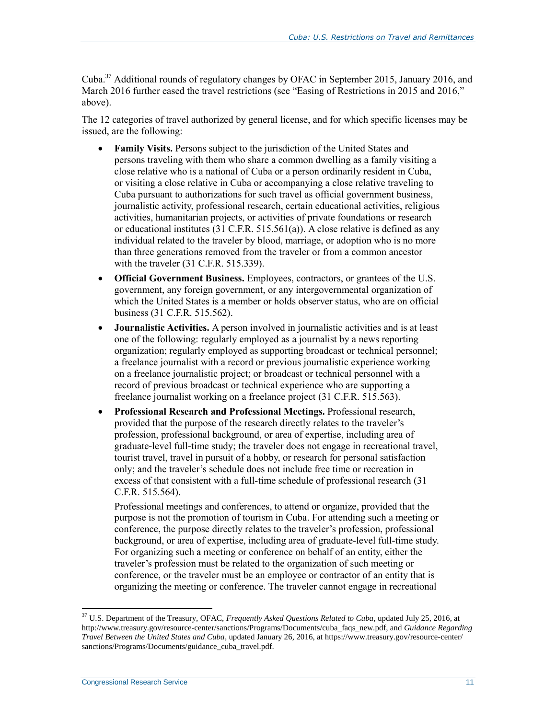Cuba.<sup>37</sup> Additional rounds of regulatory changes by OFAC in September 2015, January 2016, and March 2016 further eased the travel restrictions (see ["Easing of Restrictions in 2015](#page-9-0) and 2016," above).

The 12 categories of travel authorized by general license, and for which specific licenses may be issued, are the following:

- **Family Visits.** Persons subject to the jurisdiction of the United States and persons traveling with them who share a common dwelling as a family visiting a close relative who is a national of Cuba or a person ordinarily resident in Cuba, or visiting a close relative in Cuba or accompanying a close relative traveling to Cuba pursuant to authorizations for such travel as official government business, journalistic activity, professional research, certain educational activities, religious activities, humanitarian projects, or activities of private foundations or research or educational institutes (31 C.F.R. 515.561(a)). A close relative is defined as any individual related to the traveler by blood, marriage, or adoption who is no more than three generations removed from the traveler or from a common ancestor with the traveler (31 C.F.R. 515.339).
- **Official Government Business.** Employees, contractors, or grantees of the U.S. government, any foreign government, or any intergovernmental organization of which the United States is a member or holds observer status, who are on official business (31 C.F.R. 515.562).
- **Journalistic Activities.** A person involved in journalistic activities and is at least one of the following: regularly employed as a journalist by a news reporting organization; regularly employed as supporting broadcast or technical personnel; a freelance journalist with a record or previous journalistic experience working on a freelance journalistic project; or broadcast or technical personnel with a record of previous broadcast or technical experience who are supporting a freelance journalist working on a freelance project (31 C.F.R. 515.563).
- **Professional Research and Professional Meetings.** Professional research, provided that the purpose of the research directly relates to the traveler's profession, professional background, or area of expertise, including area of graduate-level full-time study; the traveler does not engage in recreational travel, tourist travel, travel in pursuit of a hobby, or research for personal satisfaction only; and the traveler's schedule does not include free time or recreation in excess of that consistent with a full-time schedule of professional research (31 C.F.R. 515.564).

Professional meetings and conferences, to attend or organize, provided that the purpose is not the promotion of tourism in Cuba. For attending such a meeting or conference, the purpose directly relates to the traveler's profession, professional background, or area of expertise, including area of graduate-level full-time study. For organizing such a meeting or conference on behalf of an entity, either the traveler's profession must be related to the organization of such meeting or conference, or the traveler must be an employee or contractor of an entity that is organizing the meeting or conference. The traveler cannot engage in recreational

<sup>37</sup> U.S. Department of the Treasury, OFAC, *Frequently Asked Questions Related to Cuba*, updated July 25, 2016, at http://www.treasury.gov/resource-center/sanctions/Programs/Documents/cuba\_faqs\_new.pdf, and *Guidance Regarding Travel Between the United States and Cuba*, updated January 26, 2016, at https://www.treasury.gov/resource-center/ sanctions/Programs/Documents/guidance\_cuba\_travel.pdf.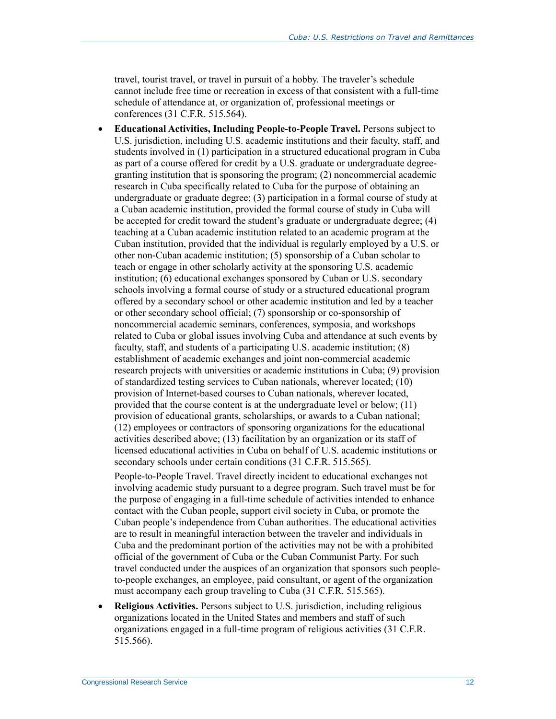travel, tourist travel, or travel in pursuit of a hobby. The traveler's schedule cannot include free time or recreation in excess of that consistent with a full-time schedule of attendance at, or organization of, professional meetings or conferences (31 C.F.R. 515.564).

 **Educational Activities, Including People-to-People Travel.** Persons subject to U.S. jurisdiction, including U.S. academic institutions and their faculty, staff, and students involved in (1) participation in a structured educational program in Cuba as part of a course offered for credit by a U.S. graduate or undergraduate degreegranting institution that is sponsoring the program; (2) noncommercial academic research in Cuba specifically related to Cuba for the purpose of obtaining an undergraduate or graduate degree; (3) participation in a formal course of study at a Cuban academic institution, provided the formal course of study in Cuba will be accepted for credit toward the student's graduate or undergraduate degree; (4) teaching at a Cuban academic institution related to an academic program at the Cuban institution, provided that the individual is regularly employed by a U.S. or other non-Cuban academic institution; (5) sponsorship of a Cuban scholar to teach or engage in other scholarly activity at the sponsoring U.S. academic institution; (6) educational exchanges sponsored by Cuban or U.S. secondary schools involving a formal course of study or a structured educational program offered by a secondary school or other academic institution and led by a teacher or other secondary school official; (7) sponsorship or co-sponsorship of noncommercial academic seminars, conferences, symposia, and workshops related to Cuba or global issues involving Cuba and attendance at such events by faculty, staff, and students of a participating U.S. academic institution; (8) establishment of academic exchanges and joint non-commercial academic research projects with universities or academic institutions in Cuba; (9) provision of standardized testing services to Cuban nationals, wherever located; (10) provision of Internet-based courses to Cuban nationals, wherever located, provided that the course content is at the undergraduate level or below; (11) provision of educational grants, scholarships, or awards to a Cuban national; (12) employees or contractors of sponsoring organizations for the educational activities described above; (13) facilitation by an organization or its staff of licensed educational activities in Cuba on behalf of U.S. academic institutions or secondary schools under certain conditions (31 C.F.R. 515.565).

People-to-People Travel. Travel directly incident to educational exchanges not involving academic study pursuant to a degree program. Such travel must be for the purpose of engaging in a full-time schedule of activities intended to enhance contact with the Cuban people, support civil society in Cuba, or promote the Cuban people's independence from Cuban authorities. The educational activities are to result in meaningful interaction between the traveler and individuals in Cuba and the predominant portion of the activities may not be with a prohibited official of the government of Cuba or the Cuban Communist Party. For such travel conducted under the auspices of an organization that sponsors such peopleto-people exchanges, an employee, paid consultant, or agent of the organization must accompany each group traveling to Cuba (31 C.F.R. 515.565).

 **Religious Activities.** Persons subject to U.S. jurisdiction, including religious organizations located in the United States and members and staff of such organizations engaged in a full-time program of religious activities (31 C.F.R. 515.566).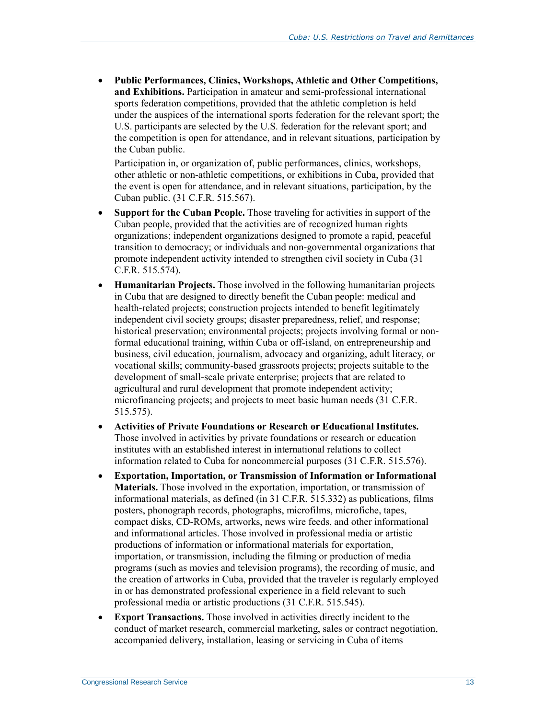**Public Performances, Clinics, Workshops, Athletic and Other Competitions, and Exhibitions.** Participation in amateur and semi-professional international sports federation competitions, provided that the athletic completion is held under the auspices of the international sports federation for the relevant sport; the U.S. participants are selected by the U.S. federation for the relevant sport; and the competition is open for attendance, and in relevant situations, participation by the Cuban public.

Participation in, or organization of, public performances, clinics, workshops, other athletic or non-athletic competitions, or exhibitions in Cuba, provided that the event is open for attendance, and in relevant situations, participation, by the Cuban public. (31 C.F.R. 515.567).

- **Support for the Cuban People.** Those traveling for activities in support of the Cuban people, provided that the activities are of recognized human rights organizations; independent organizations designed to promote a rapid, peaceful transition to democracy; or individuals and non-governmental organizations that promote independent activity intended to strengthen civil society in Cuba (31 C.F.R. 515.574).
- **Humanitarian Projects.** Those involved in the following humanitarian projects in Cuba that are designed to directly benefit the Cuban people: medical and health-related projects; construction projects intended to benefit legitimately independent civil society groups; disaster preparedness, relief, and response; historical preservation; environmental projects; projects involving formal or nonformal educational training, within Cuba or off-island, on entrepreneurship and business, civil education, journalism, advocacy and organizing, adult literacy, or vocational skills; community-based grassroots projects; projects suitable to the development of small-scale private enterprise; projects that are related to agricultural and rural development that promote independent activity; microfinancing projects; and projects to meet basic human needs (31 C.F.R. 515.575).
- **Activities of Private Foundations or Research or Educational Institutes.** Those involved in activities by private foundations or research or education institutes with an established interest in international relations to collect information related to Cuba for noncommercial purposes (31 C.F.R. 515.576).
- **Exportation, Importation, or Transmission of Information or Informational Materials.** Those involved in the exportation, importation, or transmission of informational materials, as defined (in 31 C.F.R. 515.332) as publications, films posters, phonograph records, photographs, microfilms, microfiche, tapes, compact disks, CD-ROMs, artworks, news wire feeds, and other informational and informational articles. Those involved in professional media or artistic productions of information or informational materials for exportation, importation, or transmission, including the filming or production of media programs (such as movies and television programs), the recording of music, and the creation of artworks in Cuba, provided that the traveler is regularly employed in or has demonstrated professional experience in a field relevant to such professional media or artistic productions (31 C.F.R. 515.545).
- **Export Transactions.** Those involved in activities directly incident to the conduct of market research, commercial marketing, sales or contract negotiation, accompanied delivery, installation, leasing or servicing in Cuba of items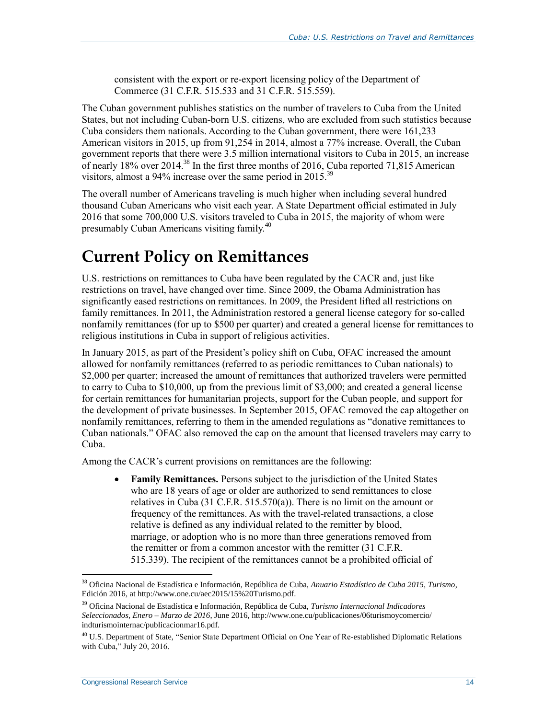consistent with the export or re-export licensing policy of the Department of Commerce (31 C.F.R. 515.533 and 31 C.F.R. 515.559).

The Cuban government publishes statistics on the number of travelers to Cuba from the United States, but not including Cuban-born U.S. citizens, who are excluded from such statistics because Cuba considers them nationals. According to the Cuban government, there were 161,233 American visitors in 2015, up from 91,254 in 2014, almost a 77% increase. Overall, the Cuban government reports that there were 3.5 million international visitors to Cuba in 2015, an increase of nearly 18% over 2014.<sup>38</sup> In the first three months of 2016, Cuba reported 71,815 American visitors, almost a 94% increase over the same period in 2015.<sup>39</sup>

The overall number of Americans traveling is much higher when including several hundred thousand Cuban Americans who visit each year. A State Department official estimated in July 2016 that some 700,000 U.S. visitors traveled to Cuba in 2015, the majority of whom were presumably Cuban Americans visiting family.<sup>40</sup>

# <span id="page-17-0"></span>**Current Policy on Remittances**

U.S. restrictions on remittances to Cuba have been regulated by the CACR and, just like restrictions on travel, have changed over time. Since 2009, the Obama Administration has significantly eased restrictions on remittances. In 2009, the President lifted all restrictions on family remittances. In 2011, the Administration restored a general license category for so-called nonfamily remittances (for up to \$500 per quarter) and created a general license for remittances to religious institutions in Cuba in support of religious activities.

In January 2015, as part of the President's policy shift on Cuba, OFAC increased the amount allowed for nonfamily remittances (referred to as periodic remittances to Cuban nationals) to \$2,000 per quarter; increased the amount of remittances that authorized travelers were permitted to carry to Cuba to \$10,000, up from the previous limit of \$3,000; and created a general license for certain remittances for humanitarian projects, support for the Cuban people, and support for the development of private businesses. In September 2015, OFAC removed the cap altogether on nonfamily remittances, referring to them in the amended regulations as "donative remittances to Cuban nationals." OFAC also removed the cap on the amount that licensed travelers may carry to Cuba.

Among the CACR's current provisions on remittances are the following:

 **Family Remittances.** Persons subject to the jurisdiction of the United States who are 18 years of age or older are authorized to send remittances to close relatives in Cuba (31 C.F.R. 515.570(a)). There is no limit on the amount or frequency of the remittances. As with the travel-related transactions, a close relative is defined as any individual related to the remitter by blood, marriage, or adoption who is no more than three generations removed from the remitter or from a common ancestor with the remitter (31 C.F.R. 515.339). The recipient of the remittances cannot be a prohibited official of

<sup>38</sup> Oficina Nacional de Estadística e Información, República de Cuba, *Anuario Estadístico de Cuba 2015, Turismo*, Edición 2016, at http://www.one.cu/aec2015/15%20Turismo.pdf.

<sup>39</sup> Oficina Nacional de Estadística e Información, República de Cuba, *Turismo Internacional Indicadores Seleccionados, Enero – Marzo de 2016*, June 2016, http://www.one.cu/publicaciones/06turismoycomercio/ indturismointernac/publicacionmar16.pdf.

<sup>&</sup>lt;sup>40</sup> U.S. Department of State, "Senior State Department Official on One Year of Re-established Diplomatic Relations with Cuba," July 20, 2016.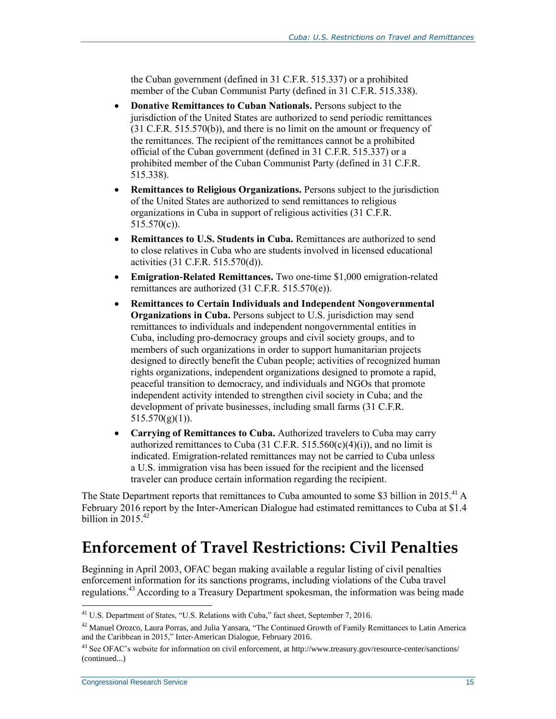the Cuban government (defined in 31 C.F.R. 515.337) or a prohibited member of the Cuban Communist Party (defined in 31 C.F.R. 515.338).

- **Donative Remittances to Cuban Nationals.** Persons subject to the jurisdiction of the United States are authorized to send periodic remittances (31 C.F.R. 515.570(b)), and there is no limit on the amount or frequency of the remittances. The recipient of the remittances cannot be a prohibited official of the Cuban government (defined in 31 C.F.R. 515.337) or a prohibited member of the Cuban Communist Party (defined in 31 C.F.R. 515.338).
- **Remittances to Religious Organizations.** Persons subject to the jurisdiction of the United States are authorized to send remittances to religious organizations in Cuba in support of religious activities (31 C.F.R. 515.570(c)).
- **Remittances to U.S. Students in Cuba.** Remittances are authorized to send to close relatives in Cuba who are students involved in licensed educational activities (31 C.F.R. 515.570(d)).
- **Emigration-Related Remittances.** Two one-time \$1,000 emigration-related remittances are authorized (31 C.F.R. 515.570(e)).
- **Remittances to Certain Individuals and Independent Nongovernmental Organizations in Cuba.** Persons subject to U.S. jurisdiction may send remittances to individuals and independent nongovernmental entities in Cuba, including pro-democracy groups and civil society groups, and to members of such organizations in order to support humanitarian projects designed to directly benefit the Cuban people; activities of recognized human rights organizations, independent organizations designed to promote a rapid, peaceful transition to democracy, and individuals and NGOs that promote independent activity intended to strengthen civil society in Cuba; and the development of private businesses, including small farms (31 C.F.R.  $515.570(g)(1)$ ).
- **Carrying of Remittances to Cuba.** Authorized travelers to Cuba may carry authorized remittances to Cuba (31 C.F.R. 515.560(c)(4)(i)), and no limit is indicated. Emigration-related remittances may not be carried to Cuba unless a U.S. immigration visa has been issued for the recipient and the licensed traveler can produce certain information regarding the recipient.

The State Department reports that remittances to Cuba amounted to some \$3 billion in 2015.<sup>41</sup> A February 2016 report by the Inter-American Dialogue had estimated remittances to Cuba at \$1.4 billion in  $2015.<sup>42</sup>$ 

# **Enforcement of Travel Restrictions: Civil Penalties**

Beginning in April 2003, OFAC began making available a regular listing of civil penalties enforcement information for its sanctions programs, including violations of the Cuba travel regulations.<sup>43</sup> According to a Treasury Department spokesman, the information was being made

<sup>&</sup>lt;sup>41</sup> U.S. Department of States, "U.S. Relations with Cuba," fact sheet, September 7, 2016.

 $42$  Manuel Orozco, Laura Porras, and Julia Yansara, "The Continued Growth of Family Remittances to Latin America and the Caribbean in 2015," Inter-American Dialogue, February 2016.

<sup>&</sup>lt;sup>43</sup> See OFAC's website for information on civil enforcement, at http://www.treasury.gov/resource-center/sanctions/ (continued...)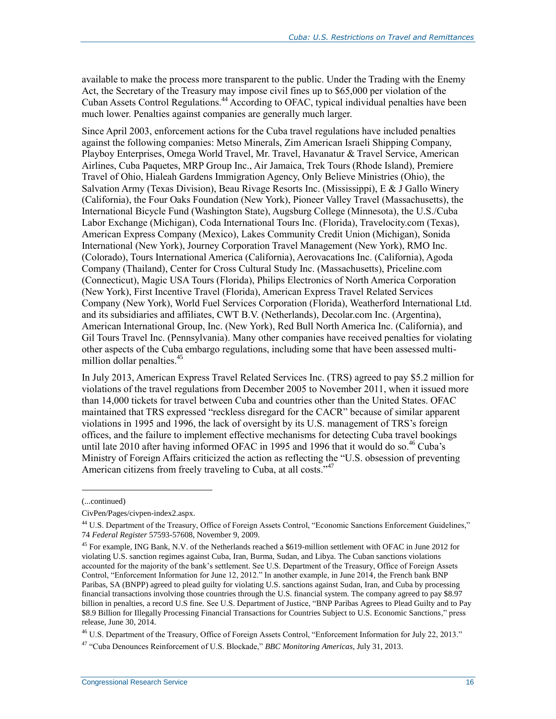available to make the process more transparent to the public. Under the Trading with the Enemy Act, the Secretary of the Treasury may impose civil fines up to \$65,000 per violation of the Cuban Assets Control Regulations.<sup>44</sup> According to OFAC, typical individual penalties have been much lower. Penalties against companies are generally much larger.

Since April 2003, enforcement actions for the Cuba travel regulations have included penalties against the following companies: Metso Minerals, Zim American Israeli Shipping Company, Playboy Enterprises, Omega World Travel, Mr. Travel, Havanatur & Travel Service, American Airlines, Cuba Paquetes, MRP Group Inc., Air Jamaica, Trek Tours (Rhode Island), Premiere Travel of Ohio, Hialeah Gardens Immigration Agency, Only Believe Ministries (Ohio), the Salvation Army (Texas Division), Beau Rivage Resorts Inc. (Mississippi), E & J Gallo Winery (California), the Four Oaks Foundation (New York), Pioneer Valley Travel (Massachusetts), the International Bicycle Fund (Washington State), Augsburg College (Minnesota), the U.S./Cuba Labor Exchange (Michigan), Coda International Tours Inc. (Florida), Travelocity.com (Texas), American Express Company (Mexico), Lakes Community Credit Union (Michigan), Sonida International (New York), Journey Corporation Travel Management (New York), RMO Inc. (Colorado), Tours International America (California), Aerovacations Inc. (California), Agoda Company (Thailand), Center for Cross Cultural Study Inc. (Massachusetts), Priceline.com (Connecticut), Magic USA Tours (Florida), Philips Electronics of North America Corporation (New York), First Incentive Travel (Florida), American Express Travel Related Services Company (New York), World Fuel Services Corporation (Florida), Weatherford International Ltd. and its subsidiaries and affiliates, CWT B.V. (Netherlands), Decolar.com Inc. (Argentina), American International Group, Inc. (New York), Red Bull North America Inc. (California), and Gil Tours Travel Inc. (Pennsylvania). Many other companies have received penalties for violating other aspects of the Cuba embargo regulations, including some that have been assessed multimillion dollar penalties.<sup>45</sup>

In July 2013, American Express Travel Related Services Inc. (TRS) agreed to pay \$5.2 million for violations of the travel regulations from December 2005 to November 2011, when it issued more than 14,000 tickets for travel between Cuba and countries other than the United States. OFAC maintained that TRS expressed "reckless disregard for the CACR" because of similar apparent violations in 1995 and 1996, the lack of oversight by its U.S. management of TRS's foreign offices, and the failure to implement effective mechanisms for detecting Cuba travel bookings until late 2010 after having informed OFAC in 1995 and 1996 that it would do so.<sup>46</sup> Cuba's Ministry of Foreign Affairs criticized the action as reflecting the "U.S. obsession of preventing American citizens from freely traveling to Cuba, at all costs."<sup>47</sup>

<sup>(...</sup>continued)

CivPen/Pages/civpen-index2.aspx.

<sup>&</sup>lt;sup>44</sup> U.S. Department of the Treasury, Office of Foreign Assets Control, "Economic Sanctions Enforcement Guidelines," 74 *Federal Register* 57593-57608, November 9, 2009.

<sup>&</sup>lt;sup>45</sup> For example, ING Bank, N.V. of the Netherlands reached a \$619-million settlement with OFAC in June 2012 for violating U.S. sanction regimes against Cuba, Iran, Burma, Sudan, and Libya. The Cuban sanctions violations accounted for the majority of the bank's settlement. See U.S. Department of the Treasury, Office of Foreign Assets Control, "Enforcement Information for June 12, 2012." In another example, in June 2014, the French bank BNP Paribas, SA (BNPP) agreed to plead guilty for violating U.S. sanctions against Sudan, Iran, and Cuba by processing financial transactions involving those countries through the U.S. financial system. The company agreed to pay \$8.97 billion in penalties, a record U.S fine. See U.S. Department of Justice, "BNP Paribas Agrees to Plead Guilty and to Pay \$8.9 Billion for Illegally Processing Financial Transactions for Countries Subject to U.S. Economic Sanctions," press release, June 30, 2014.

<sup>&</sup>lt;sup>46</sup> U.S. Department of the Treasury, Office of Foreign Assets Control, "Enforcement Information for July 22, 2013." <sup>47</sup> "Cuba Denounces Reinforcement of U.S. Blockade," *BBC Monitoring Americas*, July 31, 2013.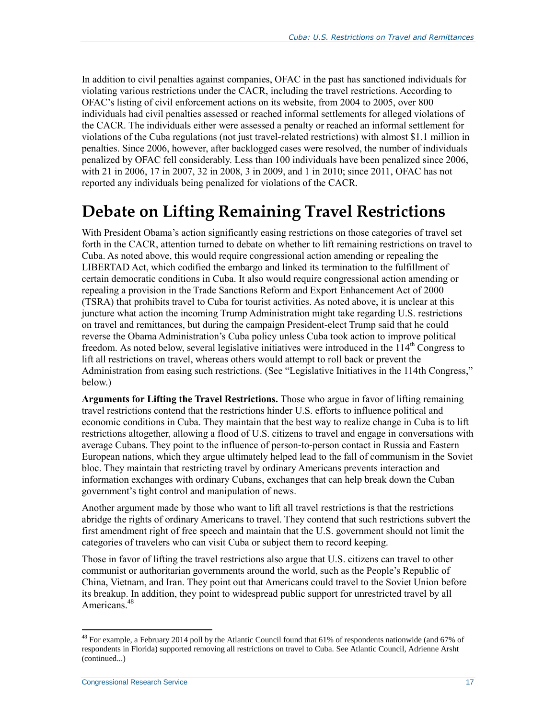In addition to civil penalties against companies, OFAC in the past has sanctioned individuals for violating various restrictions under the CACR, including the travel restrictions. According to OFAC's listing of civil enforcement actions on its website, from 2004 to 2005, over 800 individuals had civil penalties assessed or reached informal settlements for alleged violations of the CACR. The individuals either were assessed a penalty or reached an informal settlement for violations of the Cuba regulations (not just travel-related restrictions) with almost \$1.1 million in penalties. Since 2006, however, after backlogged cases were resolved, the number of individuals penalized by OFAC fell considerably. Less than 100 individuals have been penalized since 2006, with 21 in 2006, 17 in 2007, 32 in 2008, 3 in 2009, and 1 in 2010; since 2011, OFAC has not reported any individuals being penalized for violations of the CACR.

# **Debate on Lifting Remaining Travel Restrictions**

With President Obama's action significantly easing restrictions on those categories of travel set forth in the CACR, attention turned to debate on whether to lift remaining restrictions on travel to Cuba. As noted above, this would require congressional action amending or repealing the LIBERTAD Act, which codified the embargo and linked its termination to the fulfillment of certain democratic conditions in Cuba. It also would require congressional action amending or repealing a provision in the Trade Sanctions Reform and Export Enhancement Act of 2000 (TSRA) that prohibits travel to Cuba for tourist activities. As noted above, it is unclear at this juncture what action the incoming Trump Administration might take regarding U.S. restrictions on travel and remittances, but during the campaign President-elect Trump said that he could reverse the Obama Administration's Cuba policy unless Cuba took action to improve political freedom. As noted below, several legislative initiatives were introduced in the  $114<sup>th</sup>$  Congress to lift all restrictions on travel, whereas others would attempt to roll back or prevent the Administration from easing such restrictions. (See ["Legislative Initiatives in the 114th](#page-22-0) Congress," below.)

**Arguments for Lifting the Travel Restrictions.** Those who argue in favor of lifting remaining travel restrictions contend that the restrictions hinder U.S. efforts to influence political and economic conditions in Cuba. They maintain that the best way to realize change in Cuba is to lift restrictions altogether, allowing a flood of U.S. citizens to travel and engage in conversations with average Cubans. They point to the influence of person-to-person contact in Russia and Eastern European nations, which they argue ultimately helped lead to the fall of communism in the Soviet bloc. They maintain that restricting travel by ordinary Americans prevents interaction and information exchanges with ordinary Cubans, exchanges that can help break down the Cuban government's tight control and manipulation of news.

Another argument made by those who want to lift all travel restrictions is that the restrictions abridge the rights of ordinary Americans to travel. They contend that such restrictions subvert the first amendment right of free speech and maintain that the U.S. government should not limit the categories of travelers who can visit Cuba or subject them to record keeping.

Those in favor of lifting the travel restrictions also argue that U.S. citizens can travel to other communist or authoritarian governments around the world, such as the People's Republic of China, Vietnam, and Iran. They point out that Americans could travel to the Soviet Union before its breakup. In addition, they point to widespread public support for unrestricted travel by all Americans.<sup>48</sup>

 $^{48}$  For example, a February 2014 poll by the Atlantic Council found that 61% of respondents nationwide (and 67% of respondents in Florida) supported removing all restrictions on travel to Cuba. See Atlantic Council, Adrienne Arsht (continued...)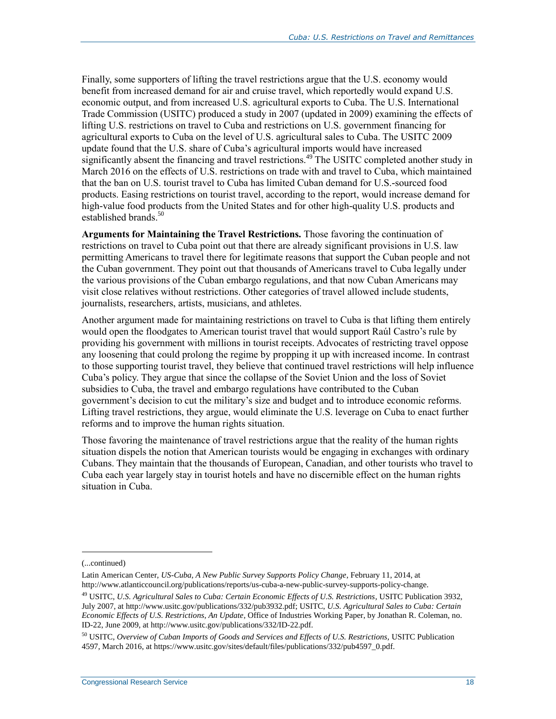Finally, some supporters of lifting the travel restrictions argue that the U.S. economy would benefit from increased demand for air and cruise travel, which reportedly would expand U.S. economic output, and from increased U.S. agricultural exports to Cuba. The U.S. International Trade Commission (USITC) produced a study in 2007 (updated in 2009) examining the effects of lifting U.S. restrictions on travel to Cuba and restrictions on U.S. government financing for agricultural exports to Cuba on the level of U.S. agricultural sales to Cuba. The USITC 2009 update found that the U.S. share of Cuba's agricultural imports would have increased significantly absent the financing and travel restrictions.<sup>49</sup> The USITC completed another study in March 2016 on the effects of U.S. restrictions on trade with and travel to Cuba, which maintained that the ban on U.S. tourist travel to Cuba has limited Cuban demand for U.S.-sourced food products. Easing restrictions on tourist travel, according to the report, would increase demand for high-value food products from the United States and for other high-quality U.S. products and established brands.<sup>50</sup>

**Arguments for Maintaining the Travel Restrictions.** Those favoring the continuation of restrictions on travel to Cuba point out that there are already significant provisions in U.S. law permitting Americans to travel there for legitimate reasons that support the Cuban people and not the Cuban government. They point out that thousands of Americans travel to Cuba legally under the various provisions of the Cuban embargo regulations, and that now Cuban Americans may visit close relatives without restrictions. Other categories of travel allowed include students, journalists, researchers, artists, musicians, and athletes.

Another argument made for maintaining restrictions on travel to Cuba is that lifting them entirely would open the floodgates to American tourist travel that would support Raúl Castro's rule by providing his government with millions in tourist receipts. Advocates of restricting travel oppose any loosening that could prolong the regime by propping it up with increased income. In contrast to those supporting tourist travel, they believe that continued travel restrictions will help influence Cuba's policy. They argue that since the collapse of the Soviet Union and the loss of Soviet subsidies to Cuba, the travel and embargo regulations have contributed to the Cuban government's decision to cut the military's size and budget and to introduce economic reforms. Lifting travel restrictions, they argue, would eliminate the U.S. leverage on Cuba to enact further reforms and to improve the human rights situation.

Those favoring the maintenance of travel restrictions argue that the reality of the human rights situation dispels the notion that American tourists would be engaging in exchanges with ordinary Cubans. They maintain that the thousands of European, Canadian, and other tourists who travel to Cuba each year largely stay in tourist hotels and have no discernible effect on the human rights situation in Cuba.

<sup>(...</sup>continued)

Latin American Center, *US-Cuba, A New Public Survey Supports Policy Change*, February 11, 2014, at http://www.atlanticcouncil.org/publications/reports/us-cuba-a-new-public-survey-supports-policy-change.

<sup>49</sup> USITC, *U.S. Agricultural Sales to Cuba: Certain Economic Effects of U.S. Restrictions*, USITC Publication 3932, July 2007, at http://www.usitc.gov/publications/332/pub3932.pdf; USITC, *U.S. Agricultural Sales to Cuba: Certain Economic Effects of U.S. Restrictions, An Update*, Office of Industries Working Paper, by Jonathan R. Coleman, no. ID-22, June 2009, at http://www.usitc.gov/publications/332/ID-22.pdf.

<sup>50</sup> USITC, *Overview of Cuban Imports of Goods and Services and Effects of U.S. Restrictions,* USITC Publication 4597, March 2016, at https://www.usitc.gov/sites/default/files/publications/332/pub4597\_0.pdf.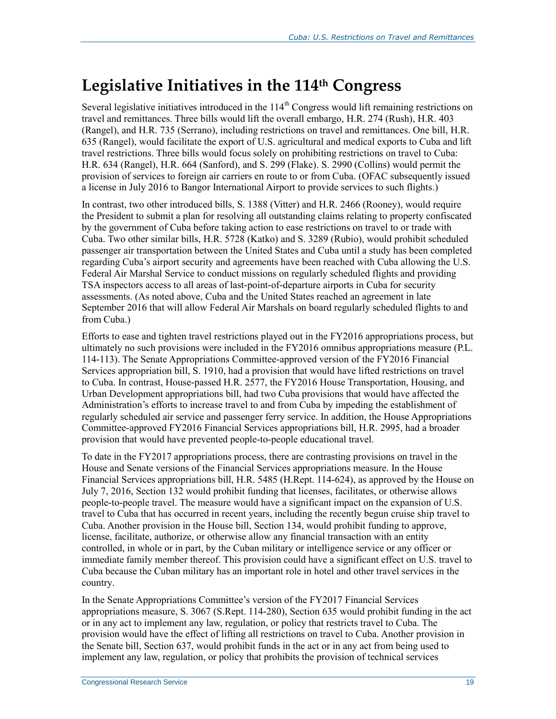# <span id="page-22-0"></span>**Legislative Initiatives in the 114th Congress**

Several legislative initiatives introduced in the 114<sup>th</sup> Congress would lift remaining restrictions on travel and remittances. Three bills would lift the overall embargo, H.R. 274 (Rush), H.R. 403 (Rangel), and H.R. 735 (Serrano), including restrictions on travel and remittances. One bill, H.R. 635 (Rangel), would facilitate the export of U.S. agricultural and medical exports to Cuba and lift travel restrictions. Three bills would focus solely on prohibiting restrictions on travel to Cuba: H.R. 634 (Rangel), H.R. 664 (Sanford), and S. 299 (Flake). S. 2990 (Collins) would permit the provision of services to foreign air carriers en route to or from Cuba. (OFAC subsequently issued a license in July 2016 to Bangor International Airport to provide services to such flights.)

In contrast, two other introduced bills, S. 1388 (Vitter) and H.R. 2466 (Rooney), would require the President to submit a plan for resolving all outstanding claims relating to property confiscated by the government of Cuba before taking action to ease restrictions on travel to or trade with Cuba. Two other similar bills, H.R. 5728 (Katko) and S. 3289 (Rubio), would prohibit scheduled passenger air transportation between the United States and Cuba until a study has been completed regarding Cuba's airport security and agreements have been reached with Cuba allowing the U.S. Federal Air Marshal Service to conduct missions on regularly scheduled flights and providing TSA inspectors access to all areas of last-point-of-departure airports in Cuba for security assessments. (As noted above, Cuba and the United States reached an agreement in late September 2016 that will allow Federal Air Marshals on board regularly scheduled flights to and from Cuba.)

Efforts to ease and tighten travel restrictions played out in the FY2016 appropriations process, but ultimately no such provisions were included in the FY2016 omnibus appropriations measure (P.L. 114-113). The Senate Appropriations Committee-approved version of the FY2016 Financial Services appropriation bill, S. 1910, had a provision that would have lifted restrictions on travel to Cuba. In contrast, House-passed H.R. 2577, the FY2016 House Transportation, Housing, and Urban Development appropriations bill, had two Cuba provisions that would have affected the Administration's efforts to increase travel to and from Cuba by impeding the establishment of regularly scheduled air service and passenger ferry service. In addition, the House Appropriations Committee-approved FY2016 Financial Services appropriations bill, H.R. 2995, had a broader provision that would have prevented people-to-people educational travel.

To date in the FY2017 appropriations process, there are contrasting provisions on travel in the House and Senate versions of the Financial Services appropriations measure. In the House Financial Services appropriations bill, H.R. 5485 (H.Rept. 114-624), as approved by the House on July 7, 2016, Section 132 would prohibit funding that licenses, facilitates, or otherwise allows people-to-people travel. The measure would have a significant impact on the expansion of U.S. travel to Cuba that has occurred in recent years, including the recently begun cruise ship travel to Cuba. Another provision in the House bill, Section 134, would prohibit funding to approve, license, facilitate, authorize, or otherwise allow any financial transaction with an entity controlled, in whole or in part, by the Cuban military or intelligence service or any officer or immediate family member thereof. This provision could have a significant effect on U.S. travel to Cuba because the Cuban military has an important role in hotel and other travel services in the country.

In the Senate Appropriations Committee's version of the FY2017 Financial Services appropriations measure, S. 3067 (S.Rept. 114-280), Section 635 would prohibit funding in the act or in any act to implement any law, regulation, or policy that restricts travel to Cuba. The provision would have the effect of lifting all restrictions on travel to Cuba. Another provision in the Senate bill, Section 637, would prohibit funds in the act or in any act from being used to implement any law, regulation, or policy that prohibits the provision of technical services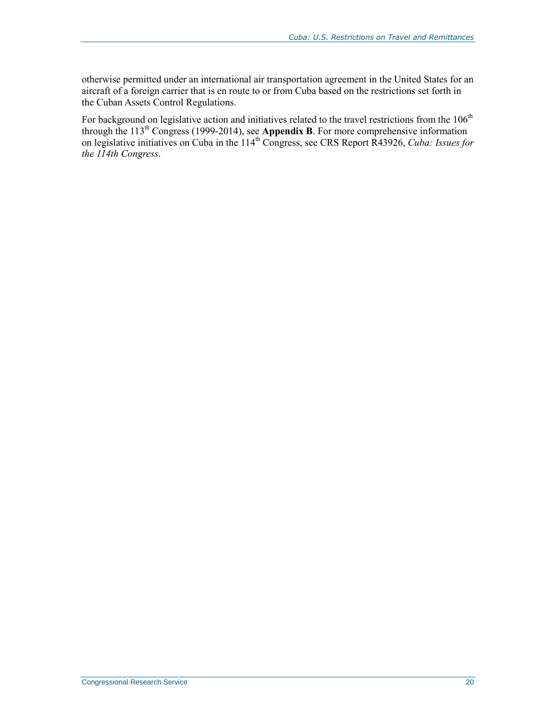otherwise permitted under an international air transportation agreement in the United States for an aircraft of a foreign carrier that is en route to or from Cuba based on the restrictions set forth in the Cuban Assets Control Regulations.

For background on legislative action and initiatives related to the travel restrictions from the 106<sup>th</sup> through the 113th Congress (1999-2014), see **[Appendix B](#page-30-0)**. For more comprehensive information on legislative initiatives on Cuba in the 114<sup>th</sup> Congress, see CRS Report R43926, *Cuba: Issues for the 114th Congress*.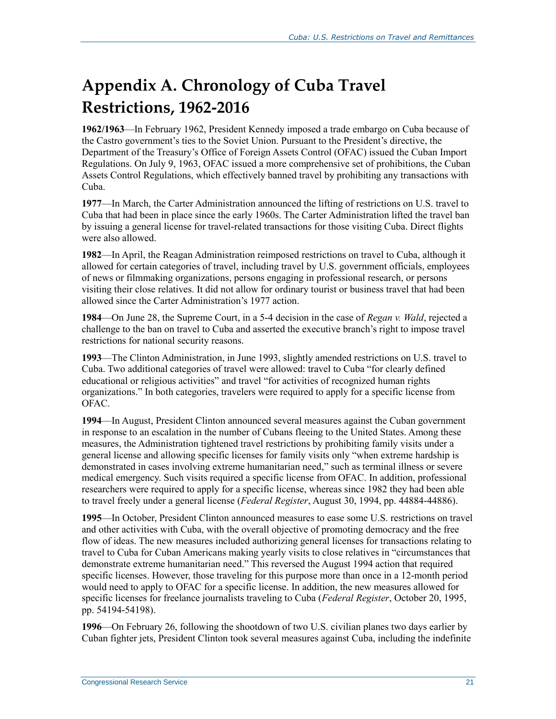# <span id="page-24-0"></span>**Appendix A. Chronology of Cuba Travel Restrictions, 1962-2016**

**1962/1963**—In February 1962, President Kennedy imposed a trade embargo on Cuba because of the Castro government's ties to the Soviet Union. Pursuant to the President's directive, the Department of the Treasury's Office of Foreign Assets Control (OFAC) issued the Cuban Import Regulations. On July 9, 1963, OFAC issued a more comprehensive set of prohibitions, the Cuban Assets Control Regulations, which effectively banned travel by prohibiting any transactions with Cuba.

**1977**—In March, the Carter Administration announced the lifting of restrictions on U.S. travel to Cuba that had been in place since the early 1960s. The Carter Administration lifted the travel ban by issuing a general license for travel-related transactions for those visiting Cuba. Direct flights were also allowed.

**1982**—In April, the Reagan Administration reimposed restrictions on travel to Cuba, although it allowed for certain categories of travel, including travel by U.S. government officials, employees of news or filmmaking organizations, persons engaging in professional research, or persons visiting their close relatives. It did not allow for ordinary tourist or business travel that had been allowed since the Carter Administration's 1977 action.

**1984**—On June 28, the Supreme Court, in a 5-4 decision in the case of *Regan v. Wald*, rejected a challenge to the ban on travel to Cuba and asserted the executive branch's right to impose travel restrictions for national security reasons.

**1993**—The Clinton Administration, in June 1993, slightly amended restrictions on U.S. travel to Cuba. Two additional categories of travel were allowed: travel to Cuba "for clearly defined educational or religious activities" and travel "for activities of recognized human rights organizations." In both categories, travelers were required to apply for a specific license from OFAC.

**1994**—In August, President Clinton announced several measures against the Cuban government in response to an escalation in the number of Cubans fleeing to the United States. Among these measures, the Administration tightened travel restrictions by prohibiting family visits under a general license and allowing specific licenses for family visits only "when extreme hardship is demonstrated in cases involving extreme humanitarian need," such as terminal illness or severe medical emergency. Such visits required a specific license from OFAC. In addition, professional researchers were required to apply for a specific license, whereas since 1982 they had been able to travel freely under a general license (*Federal Register*, August 30, 1994, pp. 44884-44886).

**1995**—In October, President Clinton announced measures to ease some U.S. restrictions on travel and other activities with Cuba, with the overall objective of promoting democracy and the free flow of ideas. The new measures included authorizing general licenses for transactions relating to travel to Cuba for Cuban Americans making yearly visits to close relatives in "circumstances that demonstrate extreme humanitarian need." This reversed the August 1994 action that required specific licenses. However, those traveling for this purpose more than once in a 12-month period would need to apply to OFAC for a specific license. In addition, the new measures allowed for specific licenses for freelance journalists traveling to Cuba (*Federal Register*, October 20, 1995, pp. 54194-54198).

**1996**—On February 26, following the shootdown of two U.S. civilian planes two days earlier by Cuban fighter jets, President Clinton took several measures against Cuba, including the indefinite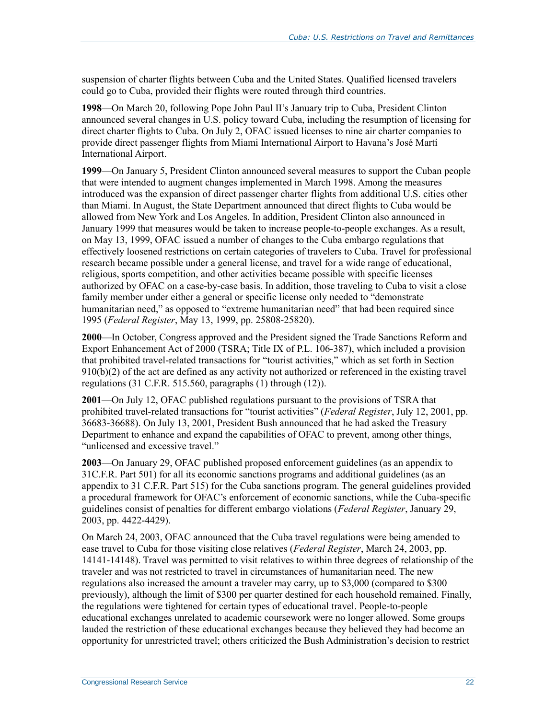suspension of charter flights between Cuba and the United States. Qualified licensed travelers could go to Cuba, provided their flights were routed through third countries.

**1998**—On March 20, following Pope John Paul II's January trip to Cuba, President Clinton announced several changes in U.S. policy toward Cuba, including the resumption of licensing for direct charter flights to Cuba. On July 2, OFAC issued licenses to nine air charter companies to provide direct passenger flights from Miami International Airport to Havana's José Martí International Airport.

**1999**—On January 5, President Clinton announced several measures to support the Cuban people that were intended to augment changes implemented in March 1998. Among the measures introduced was the expansion of direct passenger charter flights from additional U.S. cities other than Miami. In August, the State Department announced that direct flights to Cuba would be allowed from New York and Los Angeles. In addition, President Clinton also announced in January 1999 that measures would be taken to increase people-to-people exchanges. As a result, on May 13, 1999, OFAC issued a number of changes to the Cuba embargo regulations that effectively loosened restrictions on certain categories of travelers to Cuba. Travel for professional research became possible under a general license, and travel for a wide range of educational, religious, sports competition, and other activities became possible with specific licenses authorized by OFAC on a case-by-case basis. In addition, those traveling to Cuba to visit a close family member under either a general or specific license only needed to "demonstrate humanitarian need," as opposed to "extreme humanitarian need" that had been required since 1995 (*Federal Register*, May 13, 1999, pp. 25808-25820).

**2000**—In October, Congress approved and the President signed the Trade Sanctions Reform and Export Enhancement Act of 2000 (TSRA; Title IX of P.L. 106-387), which included a provision that prohibited travel-related transactions for "tourist activities," which as set forth in Section 910(b)(2) of the act are defined as any activity not authorized or referenced in the existing travel regulations (31 C.F.R. 515.560, paragraphs (1) through (12)).

**2001**—On July 12, OFAC published regulations pursuant to the provisions of TSRA that prohibited travel-related transactions for "tourist activities" (*Federal Register*, July 12, 2001, pp. 36683-36688). On July 13, 2001, President Bush announced that he had asked the Treasury Department to enhance and expand the capabilities of OFAC to prevent, among other things, "unlicensed and excessive travel."

**2003**—On January 29, OFAC published proposed enforcement guidelines (as an appendix to 31C.F.R. Part 501) for all its economic sanctions programs and additional guidelines (as an appendix to 31 C.F.R. Part 515) for the Cuba sanctions program. The general guidelines provided a procedural framework for OFAC's enforcement of economic sanctions, while the Cuba-specific guidelines consist of penalties for different embargo violations (*Federal Register*, January 29, 2003, pp. 4422-4429).

On March 24, 2003, OFAC announced that the Cuba travel regulations were being amended to ease travel to Cuba for those visiting close relatives (*Federal Register*, March 24, 2003, pp. 14141-14148). Travel was permitted to visit relatives to within three degrees of relationship of the traveler and was not restricted to travel in circumstances of humanitarian need. The new regulations also increased the amount a traveler may carry, up to \$3,000 (compared to \$300 previously), although the limit of \$300 per quarter destined for each household remained. Finally, the regulations were tightened for certain types of educational travel. People-to-people educational exchanges unrelated to academic coursework were no longer allowed. Some groups lauded the restriction of these educational exchanges because they believed they had become an opportunity for unrestricted travel; others criticized the Bush Administration's decision to restrict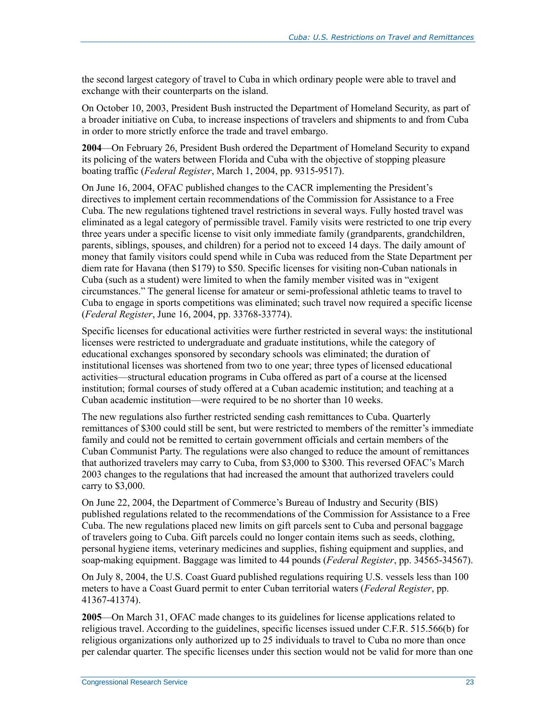the second largest category of travel to Cuba in which ordinary people were able to travel and exchange with their counterparts on the island.

On October 10, 2003, President Bush instructed the Department of Homeland Security, as part of a broader initiative on Cuba, to increase inspections of travelers and shipments to and from Cuba in order to more strictly enforce the trade and travel embargo.

**2004**—On February 26, President Bush ordered the Department of Homeland Security to expand its policing of the waters between Florida and Cuba with the objective of stopping pleasure boating traffic (*Federal Register*, March 1, 2004, pp. 9315-9517).

On June 16, 2004, OFAC published changes to the CACR implementing the President's directives to implement certain recommendations of the Commission for Assistance to a Free Cuba. The new regulations tightened travel restrictions in several ways. Fully hosted travel was eliminated as a legal category of permissible travel. Family visits were restricted to one trip every three years under a specific license to visit only immediate family (grandparents, grandchildren, parents, siblings, spouses, and children) for a period not to exceed 14 days. The daily amount of money that family visitors could spend while in Cuba was reduced from the State Department per diem rate for Havana (then \$179) to \$50. Specific licenses for visiting non-Cuban nationals in Cuba (such as a student) were limited to when the family member visited was in "exigent circumstances." The general license for amateur or semi-professional athletic teams to travel to Cuba to engage in sports competitions was eliminated; such travel now required a specific license (*Federal Register*, June 16, 2004, pp. 33768-33774).

Specific licenses for educational activities were further restricted in several ways: the institutional licenses were restricted to undergraduate and graduate institutions, while the category of educational exchanges sponsored by secondary schools was eliminated; the duration of institutional licenses was shortened from two to one year; three types of licensed educational activities—structural education programs in Cuba offered as part of a course at the licensed institution; formal courses of study offered at a Cuban academic institution; and teaching at a Cuban academic institution—were required to be no shorter than 10 weeks.

The new regulations also further restricted sending cash remittances to Cuba. Quarterly remittances of \$300 could still be sent, but were restricted to members of the remitter's immediate family and could not be remitted to certain government officials and certain members of the Cuban Communist Party. The regulations were also changed to reduce the amount of remittances that authorized travelers may carry to Cuba, from \$3,000 to \$300. This reversed OFAC's March 2003 changes to the regulations that had increased the amount that authorized travelers could carry to \$3,000.

On June 22, 2004, the Department of Commerce's Bureau of Industry and Security (BIS) published regulations related to the recommendations of the Commission for Assistance to a Free Cuba. The new regulations placed new limits on gift parcels sent to Cuba and personal baggage of travelers going to Cuba. Gift parcels could no longer contain items such as seeds, clothing, personal hygiene items, veterinary medicines and supplies, fishing equipment and supplies, and soap-making equipment. Baggage was limited to 44 pounds (*Federal Register*, pp. 34565-34567).

On July 8, 2004, the U.S. Coast Guard published regulations requiring U.S. vessels less than 100 meters to have a Coast Guard permit to enter Cuban territorial waters (*Federal Register*, pp. 41367-41374).

**2005**—On March 31, OFAC made changes to its guidelines for license applications related to religious travel. According to the guidelines, specific licenses issued under C.F.R. 515.566(b) for religious organizations only authorized up to 25 individuals to travel to Cuba no more than once per calendar quarter. The specific licenses under this section would not be valid for more than one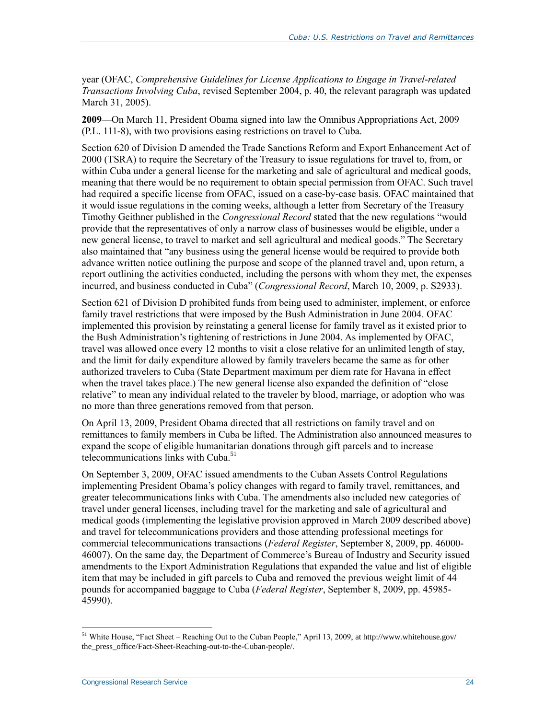year (OFAC, *Comprehensive Guidelines for License Applications to Engage in Travel-related Transactions Involving Cuba*, revised September 2004, p. 40, the relevant paragraph was updated March 31, 2005).

**2009**—On March 11, President Obama signed into law the Omnibus Appropriations Act, 2009 (P.L. 111-8), with two provisions easing restrictions on travel to Cuba.

Section 620 of Division D amended the Trade Sanctions Reform and Export Enhancement Act of 2000 (TSRA) to require the Secretary of the Treasury to issue regulations for travel to, from, or within Cuba under a general license for the marketing and sale of agricultural and medical goods, meaning that there would be no requirement to obtain special permission from OFAC. Such travel had required a specific license from OFAC, issued on a case-by-case basis. OFAC maintained that it would issue regulations in the coming weeks, although a letter from Secretary of the Treasury Timothy Geithner published in the *Congressional Record* stated that the new regulations "would provide that the representatives of only a narrow class of businesses would be eligible, under a new general license, to travel to market and sell agricultural and medical goods." The Secretary also maintained that "any business using the general license would be required to provide both advance written notice outlining the purpose and scope of the planned travel and, upon return, a report outlining the activities conducted, including the persons with whom they met, the expenses incurred, and business conducted in Cuba" (*Congressional Record*, March 10, 2009, p. S2933).

Section 621 of Division D prohibited funds from being used to administer, implement, or enforce family travel restrictions that were imposed by the Bush Administration in June 2004. OFAC implemented this provision by reinstating a general license for family travel as it existed prior to the Bush Administration's tightening of restrictions in June 2004. As implemented by OFAC, travel was allowed once every 12 months to visit a close relative for an unlimited length of stay, and the limit for daily expenditure allowed by family travelers became the same as for other authorized travelers to Cuba (State Department maximum per diem rate for Havana in effect when the travel takes place.) The new general license also expanded the definition of "close relative" to mean any individual related to the traveler by blood, marriage, or adoption who was no more than three generations removed from that person.

On April 13, 2009, President Obama directed that all restrictions on family travel and on remittances to family members in Cuba be lifted. The Administration also announced measures to expand the scope of eligible humanitarian donations through gift parcels and to increase telecommunications links with Cuba.<sup>51</sup>

On September 3, 2009, OFAC issued amendments to the Cuban Assets Control Regulations implementing President Obama's policy changes with regard to family travel, remittances, and greater telecommunications links with Cuba. The amendments also included new categories of travel under general licenses, including travel for the marketing and sale of agricultural and medical goods (implementing the legislative provision approved in March 2009 described above) and travel for telecommunications providers and those attending professional meetings for commercial telecommunications transactions (*Federal Register*, September 8, 2009, pp. 46000- 46007). On the same day, the Department of Commerce's Bureau of Industry and Security issued amendments to the Export Administration Regulations that expanded the value and list of eligible item that may be included in gift parcels to Cuba and removed the previous weight limit of 44 pounds for accompanied baggage to Cuba (*Federal Register*, September 8, 2009, pp. 45985- 45990).

<sup>&</sup>lt;sup>51</sup> White House, "Fact Sheet – Reaching Out to the Cuban People," April 13, 2009, at http://www.whitehouse.gov/ the press office/Fact-Sheet-Reaching-out-to-the-Cuban-people/.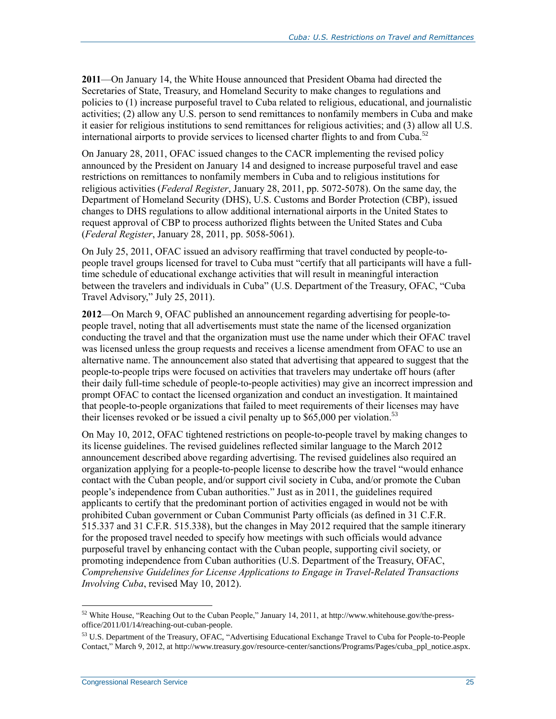**2011**—On January 14, the White House announced that President Obama had directed the Secretaries of State, Treasury, and Homeland Security to make changes to regulations and policies to (1) increase purposeful travel to Cuba related to religious, educational, and journalistic activities; (2) allow any U.S. person to send remittances to nonfamily members in Cuba and make it easier for religious institutions to send remittances for religious activities; and (3) allow all U.S. international airports to provide services to licensed charter flights to and from Cuba.<sup>52</sup>

On January 28, 2011, OFAC issued changes to the CACR implementing the revised policy announced by the President on January 14 and designed to increase purposeful travel and ease restrictions on remittances to nonfamily members in Cuba and to religious institutions for religious activities (*Federal Register*, January 28, 2011, pp. 5072-5078). On the same day, the Department of Homeland Security (DHS), U.S. Customs and Border Protection (CBP), issued changes to DHS regulations to allow additional international airports in the United States to request approval of CBP to process authorized flights between the United States and Cuba (*Federal Register*, January 28, 2011, pp. 5058-5061).

On July 25, 2011, OFAC issued an advisory reaffirming that travel conducted by people-topeople travel groups licensed for travel to Cuba must "certify that all participants will have a fulltime schedule of educational exchange activities that will result in meaningful interaction between the travelers and individuals in Cuba" (U.S. Department of the Treasury, OFAC, "Cuba Travel Advisory," July 25, 2011).

**2012**—On March 9, OFAC published an announcement regarding advertising for people-topeople travel, noting that all advertisements must state the name of the licensed organization conducting the travel and that the organization must use the name under which their OFAC travel was licensed unless the group requests and receives a license amendment from OFAC to use an alternative name. The announcement also stated that advertising that appeared to suggest that the people-to-people trips were focused on activities that travelers may undertake off hours (after their daily full-time schedule of people-to-people activities) may give an incorrect impression and prompt OFAC to contact the licensed organization and conduct an investigation. It maintained that people-to-people organizations that failed to meet requirements of their licenses may have their licenses revoked or be issued a civil penalty up to  $$65,000$  per violation.<sup>53</sup>

On May 10, 2012, OFAC tightened restrictions on people-to-people travel by making changes to its license guidelines. The revised guidelines reflected similar language to the March 2012 announcement described above regarding advertising. The revised guidelines also required an organization applying for a people-to-people license to describe how the travel "would enhance contact with the Cuban people, and/or support civil society in Cuba, and/or promote the Cuban people's independence from Cuban authorities." Just as in 2011, the guidelines required applicants to certify that the predominant portion of activities engaged in would not be with prohibited Cuban government or Cuban Communist Party officials (as defined in 31 C.F.R. 515.337 and 31 C.F.R. 515.338), but the changes in May 2012 required that the sample itinerary for the proposed travel needed to specify how meetings with such officials would advance purposeful travel by enhancing contact with the Cuban people, supporting civil society, or promoting independence from Cuban authorities (U.S. Department of the Treasury, OFAC, *Comprehensive Guidelines for License Applications to Engage in Travel-Related Transactions Involving Cuba*, revised May 10, 2012).

<sup>52</sup> White House, "Reaching Out to the Cuban People," January 14, 2011, at http://www.whitehouse.gov/the-pressoffice/2011/01/14/reaching-out-cuban-people.

<sup>53</sup> U.S. Department of the Treasury, OFAC, "Advertising Educational Exchange Travel to Cuba for People-to-People Contact," March 9, 2012, at http://www.treasury.gov/resource-center/sanctions/Programs/Pages/cuba\_ppl\_notice.aspx.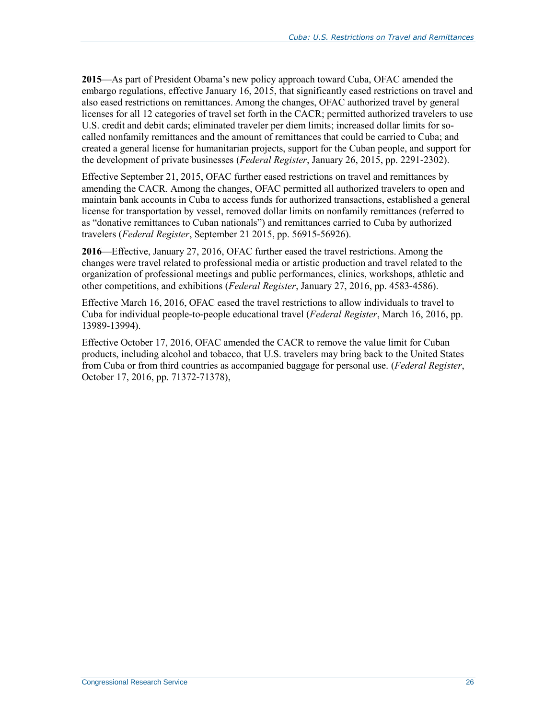**2015**—As part of President Obama's new policy approach toward Cuba, OFAC amended the embargo regulations, effective January 16, 2015, that significantly eased restrictions on travel and also eased restrictions on remittances. Among the changes, OFAC authorized travel by general licenses for all 12 categories of travel set forth in the CACR; permitted authorized travelers to use U.S. credit and debit cards; eliminated traveler per diem limits; increased dollar limits for socalled nonfamily remittances and the amount of remittances that could be carried to Cuba; and created a general license for humanitarian projects, support for the Cuban people, and support for the development of private businesses (*Federal Register*, January 26, 2015, pp. 2291-2302).

Effective September 21, 2015, OFAC further eased restrictions on travel and remittances by amending the CACR. Among the changes, OFAC permitted all authorized travelers to open and maintain bank accounts in Cuba to access funds for authorized transactions, established a general license for transportation by vessel, removed dollar limits on nonfamily remittances (referred to as "donative remittances to Cuban nationals") and remittances carried to Cuba by authorized travelers (*Federal Register*, September 21 2015, pp. 56915-56926).

**2016**—Effective, January 27, 2016, OFAC further eased the travel restrictions. Among the changes were travel related to professional media or artistic production and travel related to the organization of professional meetings and public performances, clinics, workshops, athletic and other competitions, and exhibitions (*Federal Register*, January 27, 2016, pp. 4583-4586).

Effective March 16, 2016, OFAC eased the travel restrictions to allow individuals to travel to Cuba for individual people-to-people educational travel (*Federal Register*, March 16, 2016, pp. 13989-13994).

Effective October 17, 2016, OFAC amended the CACR to remove the value limit for Cuban products, including alcohol and tobacco, that U.S. travelers may bring back to the United States from Cuba or from third countries as accompanied baggage for personal use. (*Federal Register*, October 17, 2016, pp. 71372-71378),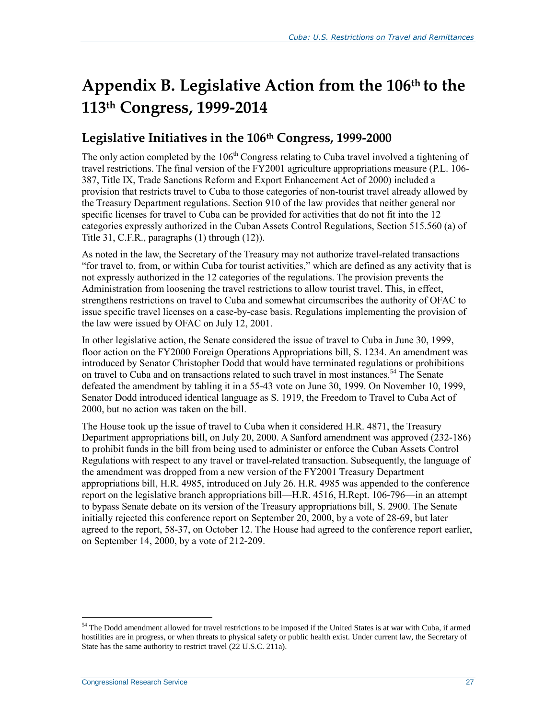# <span id="page-30-0"></span>**Appendix B. Legislative Action from the 106th to the 113th Congress, 1999-2014**

## **Legislative Initiatives in the 106th Congress, 1999-2000**

The only action completed by the 106<sup>th</sup> Congress relating to Cuba travel involved a tightening of travel restrictions. The final version of the FY2001 agriculture appropriations measure (P.L. 106- 387, Title IX, Trade Sanctions Reform and Export Enhancement Act of 2000) included a provision that restricts travel to Cuba to those categories of non-tourist travel already allowed by the Treasury Department regulations. Section 910 of the law provides that neither general nor specific licenses for travel to Cuba can be provided for activities that do not fit into the 12 categories expressly authorized in the Cuban Assets Control Regulations, Section 515.560 (a) of Title 31, C.F.R., paragraphs (1) through (12)).

As noted in the law, the Secretary of the Treasury may not authorize travel-related transactions "for travel to, from, or within Cuba for tourist activities," which are defined as any activity that is not expressly authorized in the 12 categories of the regulations. The provision prevents the Administration from loosening the travel restrictions to allow tourist travel. This, in effect, strengthens restrictions on travel to Cuba and somewhat circumscribes the authority of OFAC to issue specific travel licenses on a case-by-case basis. Regulations implementing the provision of the law were issued by OFAC on July 12, 2001.

In other legislative action, the Senate considered the issue of travel to Cuba in June 30, 1999, floor action on the FY2000 Foreign Operations Appropriations bill, S. 1234. An amendment was introduced by Senator Christopher Dodd that would have terminated regulations or prohibitions on travel to Cuba and on transactions related to such travel in most instances.<sup>54</sup> The Senate defeated the amendment by tabling it in a 55-43 vote on June 30, 1999. On November 10, 1999, Senator Dodd introduced identical language as S. 1919, the Freedom to Travel to Cuba Act of 2000, but no action was taken on the bill.

The House took up the issue of travel to Cuba when it considered H.R. 4871, the Treasury Department appropriations bill, on July 20, 2000. A Sanford amendment was approved (232-186) to prohibit funds in the bill from being used to administer or enforce the Cuban Assets Control Regulations with respect to any travel or travel-related transaction. Subsequently, the language of the amendment was dropped from a new version of the FY2001 Treasury Department appropriations bill, H.R. 4985, introduced on July 26. H.R. 4985 was appended to the conference report on the legislative branch appropriations bill—H.R. 4516, H.Rept. 106-796—in an attempt to bypass Senate debate on its version of the Treasury appropriations bill, S. 2900. The Senate initially rejected this conference report on September 20, 2000, by a vote of 28-69, but later agreed to the report, 58-37, on October 12. The House had agreed to the conference report earlier, on September 14, 2000, by a vote of 212-209.

<sup>&</sup>lt;sup>54</sup> The Dodd amendment allowed for travel restrictions to be imposed if the United States is at war with Cuba, if armed hostilities are in progress, or when threats to physical safety or public health exist. Under current law, the Secretary of State has the same authority to restrict travel (22 U.S.C. 211a).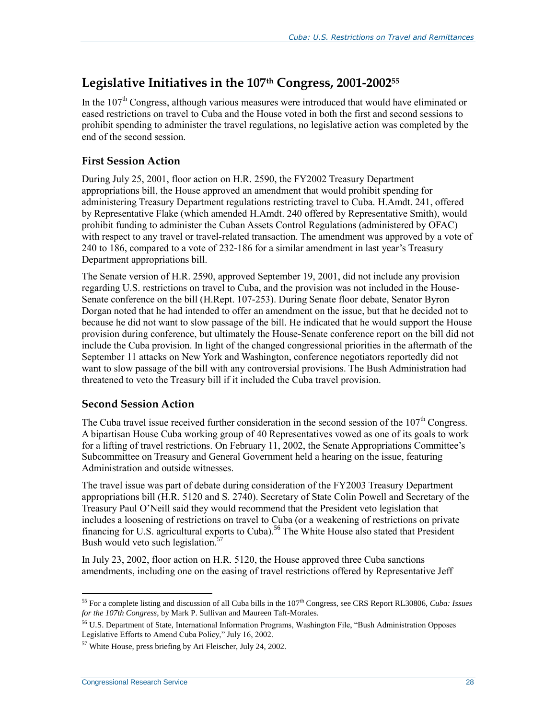## **Legislative Initiatives in the 107th Congress, 2001-2002<sup>55</sup>**

In the  $107<sup>th</sup>$  Congress, although various measures were introduced that would have eliminated or eased restrictions on travel to Cuba and the House voted in both the first and second sessions to prohibit spending to administer the travel regulations, no legislative action was completed by the end of the second session.

#### **First Session Action**

During July 25, 2001, floor action on H.R. 2590, the FY2002 Treasury Department appropriations bill, the House approved an amendment that would prohibit spending for administering Treasury Department regulations restricting travel to Cuba. H.Amdt. 241, offered by Representative Flake (which amended H.Amdt. 240 offered by Representative Smith), would prohibit funding to administer the Cuban Assets Control Regulations (administered by OFAC) with respect to any travel or travel-related transaction. The amendment was approved by a vote of 240 to 186, compared to a vote of 232-186 for a similar amendment in last year's Treasury Department appropriations bill.

The Senate version of H.R. 2590, approved September 19, 2001, did not include any provision regarding U.S. restrictions on travel to Cuba, and the provision was not included in the House-Senate conference on the bill (H.Rept. 107-253). During Senate floor debate, Senator Byron Dorgan noted that he had intended to offer an amendment on the issue, but that he decided not to because he did not want to slow passage of the bill. He indicated that he would support the House provision during conference, but ultimately the House-Senate conference report on the bill did not include the Cuba provision. In light of the changed congressional priorities in the aftermath of the September 11 attacks on New York and Washington, conference negotiators reportedly did not want to slow passage of the bill with any controversial provisions. The Bush Administration had threatened to veto the Treasury bill if it included the Cuba travel provision.

#### **Second Session Action**

The Cuba travel issue received further consideration in the second session of the  $107<sup>th</sup>$  Congress. A bipartisan House Cuba working group of 40 Representatives vowed as one of its goals to work for a lifting of travel restrictions. On February 11, 2002, the Senate Appropriations Committee's Subcommittee on Treasury and General Government held a hearing on the issue, featuring Administration and outside witnesses.

The travel issue was part of debate during consideration of the FY2003 Treasury Department appropriations bill (H.R. 5120 and S. 2740). Secretary of State Colin Powell and Secretary of the Treasury Paul O'Neill said they would recommend that the President veto legislation that includes a loosening of restrictions on travel to Cuba (or a weakening of restrictions on private financing for U.S. agricultural exports to Cuba).<sup>56</sup> The White House also stated that President Bush would veto such legislation.<sup>57</sup>

In July 23, 2002, floor action on H.R. 5120, the House approved three Cuba sanctions amendments, including one on the easing of travel restrictions offered by Representative Jeff

 $\overline{a}$ <sup>55</sup> For a complete listing and discussion of all Cuba bills in the 107th Congress, see CRS Report RL30806, *Cuba: Issues for the 107th Congress*, by Mark P. Sullivan and Maureen Taft-Morales.

<sup>56</sup> U.S. Department of State, International Information Programs, Washington File, "Bush Administration Opposes Legislative Efforts to Amend Cuba Policy," July 16, 2002.

<sup>57</sup> White House, press briefing by Ari Fleischer, July 24, 2002.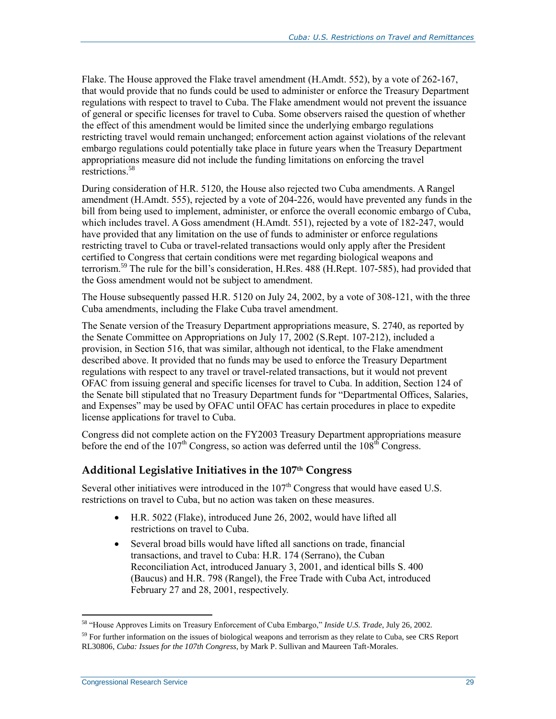Flake. The House approved the Flake travel amendment (H.Amdt. 552), by a vote of 262-167, that would provide that no funds could be used to administer or enforce the Treasury Department regulations with respect to travel to Cuba. The Flake amendment would not prevent the issuance of general or specific licenses for travel to Cuba. Some observers raised the question of whether the effect of this amendment would be limited since the underlying embargo regulations restricting travel would remain unchanged; enforcement action against violations of the relevant embargo regulations could potentially take place in future years when the Treasury Department appropriations measure did not include the funding limitations on enforcing the travel restrictions.<sup>58</sup>

During consideration of H.R. 5120, the House also rejected two Cuba amendments. A Rangel amendment (H.Amdt. 555), rejected by a vote of 204-226, would have prevented any funds in the bill from being used to implement, administer, or enforce the overall economic embargo of Cuba, which includes travel. A Goss amendment (H.Amdt. 551), rejected by a vote of 182-247, would have provided that any limitation on the use of funds to administer or enforce regulations restricting travel to Cuba or travel-related transactions would only apply after the President certified to Congress that certain conditions were met regarding biological weapons and terrorism.<sup>59</sup> The rule for the bill's consideration, H.Res. 488 (H.Rept. 107-585), had provided that the Goss amendment would not be subject to amendment.

The House subsequently passed H.R. 5120 on July 24, 2002, by a vote of 308-121, with the three Cuba amendments, including the Flake Cuba travel amendment.

The Senate version of the Treasury Department appropriations measure, S. 2740, as reported by the Senate Committee on Appropriations on July 17, 2002 (S.Rept. 107-212), included a provision, in Section 516, that was similar, although not identical, to the Flake amendment described above. It provided that no funds may be used to enforce the Treasury Department regulations with respect to any travel or travel-related transactions, but it would not prevent OFAC from issuing general and specific licenses for travel to Cuba. In addition, Section 124 of the Senate bill stipulated that no Treasury Department funds for "Departmental Offices, Salaries, and Expenses" may be used by OFAC until OFAC has certain procedures in place to expedite license applications for travel to Cuba.

Congress did not complete action on the FY2003 Treasury Department appropriations measure before the end of the  $107<sup>th</sup>$  Congress, so action was deferred until the  $108<sup>th</sup>$  Congress.

#### **Additional Legislative Initiatives in the 107th Congress**

Several other initiatives were introduced in the  $107<sup>th</sup>$  Congress that would have eased U.S. restrictions on travel to Cuba, but no action was taken on these measures.

- H.R. 5022 (Flake), introduced June 26, 2002, would have lifted all restrictions on travel to Cuba.
- Several broad bills would have lifted all sanctions on trade, financial transactions, and travel to Cuba: H.R. 174 (Serrano), the Cuban Reconciliation Act, introduced January 3, 2001, and identical bills S. 400 (Baucus) and H.R. 798 (Rangel), the Free Trade with Cuba Act, introduced February 27 and 28, 2001, respectively.

<sup>58</sup> "House Approves Limits on Treasury Enforcement of Cuba Embargo," *Inside U.S. Trade*, July 26, 2002.

<sup>&</sup>lt;sup>59</sup> For further information on the issues of biological weapons and terrorism as they relate to Cuba, see CRS Report RL30806, *Cuba: Issues for the 107th Congress*, by Mark P. Sullivan and Maureen Taft-Morales.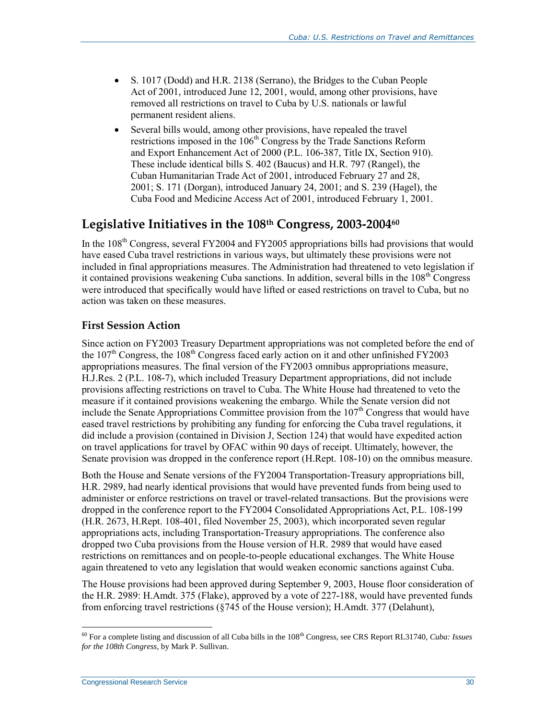- S. 1017 (Dodd) and H.R. 2138 (Serrano), the Bridges to the Cuban People Act of 2001, introduced June 12, 2001, would, among other provisions, have removed all restrictions on travel to Cuba by U.S. nationals or lawful permanent resident aliens.
- Several bills would, among other provisions, have repealed the travel restrictions imposed in the 106<sup>th</sup> Congress by the Trade Sanctions Reform and Export Enhancement Act of 2000 (P.L. 106-387, Title IX, Section 910). These include identical bills S. 402 (Baucus) and H.R. 797 (Rangel), the Cuban Humanitarian Trade Act of 2001, introduced February 27 and 28, 2001; S. 171 (Dorgan), introduced January 24, 2001; and S. 239 (Hagel), the Cuba Food and Medicine Access Act of 2001, introduced February 1, 2001.

### **Legislative Initiatives in the 108th Congress, 2003-2004<sup>60</sup>**

In the 108<sup>th</sup> Congress, several FY2004 and FY2005 appropriations bills had provisions that would have eased Cuba travel restrictions in various ways, but ultimately these provisions were not included in final appropriations measures. The Administration had threatened to veto legislation if it contained provisions weakening Cuba sanctions. In addition, several bills in the  $108<sup>th</sup>$  Congress were introduced that specifically would have lifted or eased restrictions on travel to Cuba, but no action was taken on these measures.

#### **First Session Action**

Since action on FY2003 Treasury Department appropriations was not completed before the end of the  $107<sup>th</sup>$  Congress, the  $108<sup>th</sup>$  Congress faced early action on it and other unfinished FY2003 appropriations measures. The final version of the FY2003 omnibus appropriations measure, H.J.Res. 2 (P.L. 108-7), which included Treasury Department appropriations, did not include provisions affecting restrictions on travel to Cuba. The White House had threatened to veto the measure if it contained provisions weakening the embargo. While the Senate version did not include the Senate Appropriations Committee provision from the  $107<sup>th</sup>$  Congress that would have eased travel restrictions by prohibiting any funding for enforcing the Cuba travel regulations, it did include a provision (contained in Division J, Section 124) that would have expedited action on travel applications for travel by OFAC within 90 days of receipt. Ultimately, however, the Senate provision was dropped in the conference report (H.Rept. 108-10) on the omnibus measure.

Both the House and Senate versions of the FY2004 Transportation-Treasury appropriations bill, H.R. 2989, had nearly identical provisions that would have prevented funds from being used to administer or enforce restrictions on travel or travel-related transactions. But the provisions were dropped in the conference report to the FY2004 Consolidated Appropriations Act, P.L. 108-199 (H.R. 2673, H.Rept. 108-401, filed November 25, 2003), which incorporated seven regular appropriations acts, including Transportation-Treasury appropriations. The conference also dropped two Cuba provisions from the House version of H.R. 2989 that would have eased restrictions on remittances and on people-to-people educational exchanges. The White House again threatened to veto any legislation that would weaken economic sanctions against Cuba.

The House provisions had been approved during September 9, 2003, House floor consideration of the H.R. 2989: H.Amdt. 375 (Flake), approved by a vote of 227-188, would have prevented funds from enforcing travel restrictions (§745 of the House version); H.Amdt. 377 (Delahunt),

<sup>60</sup> For a complete listing and discussion of all Cuba bills in the 108th Congress, see CRS Report RL31740, *Cuba: Issues for the 108th Congress*, by Mark P. Sullivan.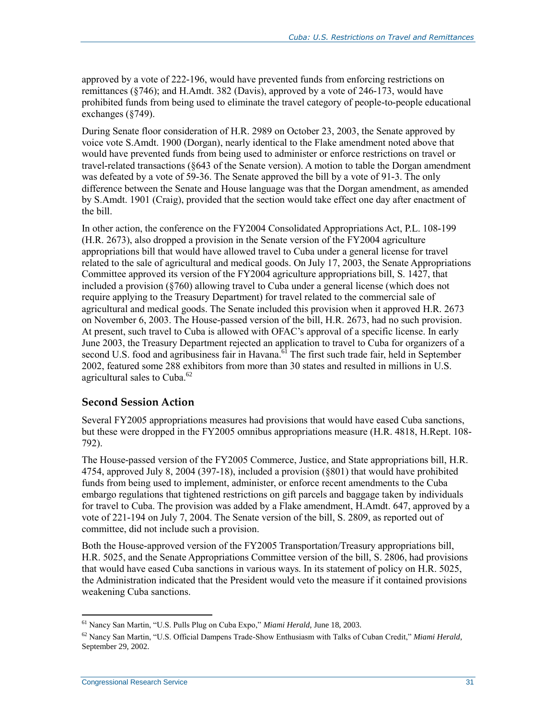approved by a vote of 222-196, would have prevented funds from enforcing restrictions on remittances (§746); and H.Amdt. 382 (Davis), approved by a vote of 246-173, would have prohibited funds from being used to eliminate the travel category of people-to-people educational exchanges (§749).

During Senate floor consideration of H.R. 2989 on October 23, 2003, the Senate approved by voice vote S.Amdt. 1900 (Dorgan), nearly identical to the Flake amendment noted above that would have prevented funds from being used to administer or enforce restrictions on travel or travel-related transactions (§643 of the Senate version). A motion to table the Dorgan amendment was defeated by a vote of 59-36. The Senate approved the bill by a vote of 91-3. The only difference between the Senate and House language was that the Dorgan amendment, as amended by S.Amdt. 1901 (Craig), provided that the section would take effect one day after enactment of the bill.

In other action, the conference on the FY2004 Consolidated Appropriations Act, P.L. 108-199 (H.R. 2673), also dropped a provision in the Senate version of the FY2004 agriculture appropriations bill that would have allowed travel to Cuba under a general license for travel related to the sale of agricultural and medical goods. On July 17, 2003, the Senate Appropriations Committee approved its version of the FY2004 agriculture appropriations bill, S. 1427, that included a provision (§760) allowing travel to Cuba under a general license (which does not require applying to the Treasury Department) for travel related to the commercial sale of agricultural and medical goods. The Senate included this provision when it approved H.R. 2673 on November 6, 2003. The House-passed version of the bill, H.R. 2673, had no such provision. At present, such travel to Cuba is allowed with OFAC's approval of a specific license. In early June 2003, the Treasury Department rejected an application to travel to Cuba for organizers of a second U.S. food and agribusiness fair in Havana.<sup>61</sup> The first such trade fair, held in September 2002, featured some 288 exhibitors from more than 30 states and resulted in millions in U.S. agricultural sales to Cuba. $62$ 

#### **Second Session Action**

Several FY2005 appropriations measures had provisions that would have eased Cuba sanctions, but these were dropped in the FY2005 omnibus appropriations measure (H.R. 4818, H.Rept. 108- 792).

The House-passed version of the FY2005 Commerce, Justice, and State appropriations bill, H.R. 4754, approved July 8, 2004 (397-18), included a provision (§801) that would have prohibited funds from being used to implement, administer, or enforce recent amendments to the Cuba embargo regulations that tightened restrictions on gift parcels and baggage taken by individuals for travel to Cuba. The provision was added by a Flake amendment, H.Amdt. 647, approved by a vote of 221-194 on July 7, 2004. The Senate version of the bill, S. 2809, as reported out of committee, did not include such a provision.

Both the House-approved version of the FY2005 Transportation/Treasury appropriations bill, H.R. 5025, and the Senate Appropriations Committee version of the bill, S. 2806, had provisions that would have eased Cuba sanctions in various ways. In its statement of policy on H.R. 5025, the Administration indicated that the President would veto the measure if it contained provisions weakening Cuba sanctions.

<sup>61</sup> Nancy San Martin, "U.S. Pulls Plug on Cuba Expo," *Miami Herald*, June 18, 2003.

<sup>62</sup> Nancy San Martin, "U.S. Official Dampens Trade-Show Enthusiasm with Talks of Cuban Credit," *Miami Herald*, September 29, 2002.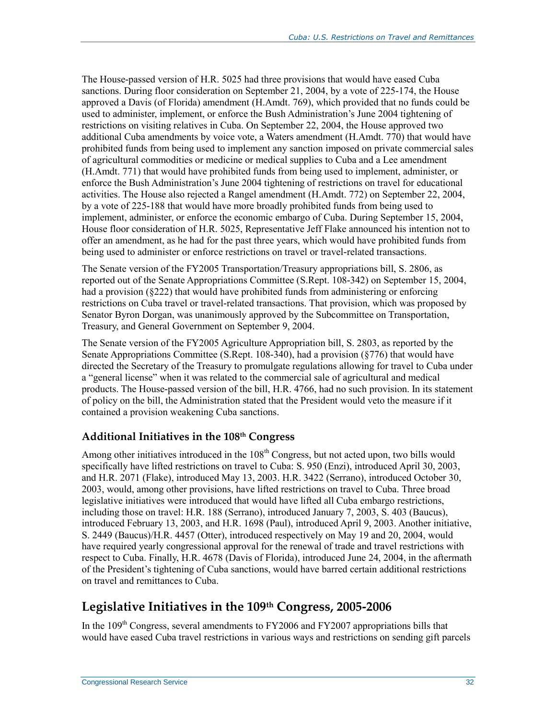The House-passed version of H.R. 5025 had three provisions that would have eased Cuba sanctions. During floor consideration on September 21, 2004, by a vote of 225-174, the House approved a Davis (of Florida) amendment (H.Amdt. 769), which provided that no funds could be used to administer, implement, or enforce the Bush Administration's June 2004 tightening of restrictions on visiting relatives in Cuba. On September 22, 2004, the House approved two additional Cuba amendments by voice vote, a Waters amendment (H.Amdt. 770) that would have prohibited funds from being used to implement any sanction imposed on private commercial sales of agricultural commodities or medicine or medical supplies to Cuba and a Lee amendment (H.Amdt. 771) that would have prohibited funds from being used to implement, administer, or enforce the Bush Administration's June 2004 tightening of restrictions on travel for educational activities. The House also rejected a Rangel amendment (H.Amdt. 772) on September 22, 2004, by a vote of 225-188 that would have more broadly prohibited funds from being used to implement, administer, or enforce the economic embargo of Cuba. During September 15, 2004, House floor consideration of H.R. 5025, Representative Jeff Flake announced his intention not to offer an amendment, as he had for the past three years, which would have prohibited funds from being used to administer or enforce restrictions on travel or travel-related transactions.

The Senate version of the FY2005 Transportation/Treasury appropriations bill, S. 2806, as reported out of the Senate Appropriations Committee (S.Rept. 108-342) on September 15, 2004, had a provision (§222) that would have prohibited funds from administering or enforcing restrictions on Cuba travel or travel-related transactions. That provision, which was proposed by Senator Byron Dorgan, was unanimously approved by the Subcommittee on Transportation, Treasury, and General Government on September 9, 2004.

The Senate version of the FY2005 Agriculture Appropriation bill, S. 2803, as reported by the Senate Appropriations Committee (S.Rept. 108-340), had a provision (§776) that would have directed the Secretary of the Treasury to promulgate regulations allowing for travel to Cuba under a "general license" when it was related to the commercial sale of agricultural and medical products. The House-passed version of the bill, H.R. 4766, had no such provision. In its statement of policy on the bill, the Administration stated that the President would veto the measure if it contained a provision weakening Cuba sanctions.

#### **Additional Initiatives in the 108th Congress**

Among other initiatives introduced in the  $108<sup>th</sup>$  Congress, but not acted upon, two bills would specifically have lifted restrictions on travel to Cuba: S. 950 (Enzi), introduced April 30, 2003, and H.R. 2071 (Flake), introduced May 13, 2003. H.R. 3422 (Serrano), introduced October 30, 2003, would, among other provisions, have lifted restrictions on travel to Cuba. Three broad legislative initiatives were introduced that would have lifted all Cuba embargo restrictions, including those on travel: H.R. 188 (Serrano), introduced January 7, 2003, S. 403 (Baucus), introduced February 13, 2003, and H.R. 1698 (Paul), introduced April 9, 2003. Another initiative, S. 2449 (Baucus)/H.R. 4457 (Otter), introduced respectively on May 19 and 20, 2004, would have required yearly congressional approval for the renewal of trade and travel restrictions with respect to Cuba. Finally, H.R. 4678 (Davis of Florida), introduced June 24, 2004, in the aftermath of the President's tightening of Cuba sanctions, would have barred certain additional restrictions on travel and remittances to Cuba.

### **Legislative Initiatives in the 109th Congress, 2005-2006**

In the 109<sup>th</sup> Congress, several amendments to FY2006 and FY2007 appropriations bills that would have eased Cuba travel restrictions in various ways and restrictions on sending gift parcels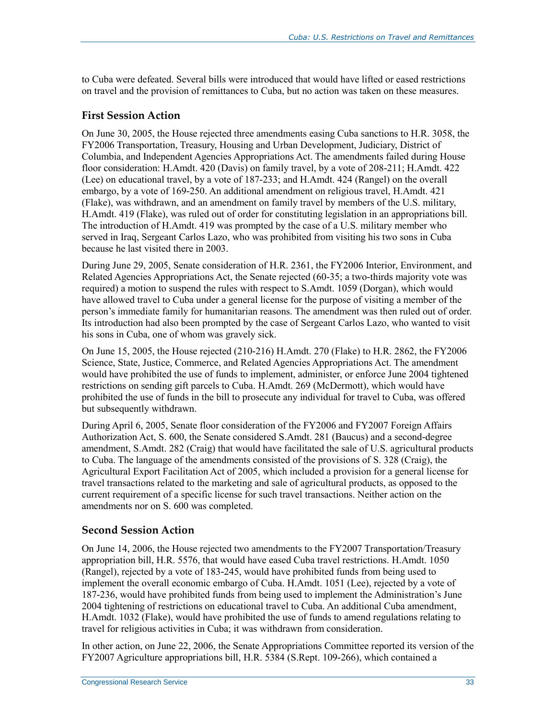to Cuba were defeated. Several bills were introduced that would have lifted or eased restrictions on travel and the provision of remittances to Cuba, but no action was taken on these measures.

#### **First Session Action**

On June 30, 2005, the House rejected three amendments easing Cuba sanctions to H.R. 3058, the FY2006 Transportation, Treasury, Housing and Urban Development, Judiciary, District of Columbia, and Independent Agencies Appropriations Act. The amendments failed during House floor consideration: H.Amdt. 420 (Davis) on family travel, by a vote of 208-211; H.Amdt. 422 (Lee) on educational travel, by a vote of 187-233; and H.Amdt. 424 (Rangel) on the overall embargo, by a vote of 169-250. An additional amendment on religious travel, H.Amdt. 421 (Flake), was withdrawn, and an amendment on family travel by members of the U.S. military, H.Amdt. 419 (Flake), was ruled out of order for constituting legislation in an appropriations bill. The introduction of H.Amdt. 419 was prompted by the case of a U.S. military member who served in Iraq, Sergeant Carlos Lazo, who was prohibited from visiting his two sons in Cuba because he last visited there in 2003.

During June 29, 2005, Senate consideration of H.R. 2361, the FY2006 Interior, Environment, and Related Agencies Appropriations Act, the Senate rejected (60-35; a two-thirds majority vote was required) a motion to suspend the rules with respect to S.Amdt. 1059 (Dorgan), which would have allowed travel to Cuba under a general license for the purpose of visiting a member of the person's immediate family for humanitarian reasons. The amendment was then ruled out of order. Its introduction had also been prompted by the case of Sergeant Carlos Lazo, who wanted to visit his sons in Cuba, one of whom was gravely sick.

On June 15, 2005, the House rejected (210-216) H.Amdt. 270 (Flake) to H.R. 2862, the FY2006 Science, State, Justice, Commerce, and Related Agencies Appropriations Act. The amendment would have prohibited the use of funds to implement, administer, or enforce June 2004 tightened restrictions on sending gift parcels to Cuba. H.Amdt. 269 (McDermott), which would have prohibited the use of funds in the bill to prosecute any individual for travel to Cuba, was offered but subsequently withdrawn.

During April 6, 2005, Senate floor consideration of the FY2006 and FY2007 Foreign Affairs Authorization Act, S. 600, the Senate considered S.Amdt. 281 (Baucus) and a second-degree amendment, S.Amdt. 282 (Craig) that would have facilitated the sale of U.S. agricultural products to Cuba. The language of the amendments consisted of the provisions of S. 328 (Craig), the Agricultural Export Facilitation Act of 2005, which included a provision for a general license for travel transactions related to the marketing and sale of agricultural products, as opposed to the current requirement of a specific license for such travel transactions. Neither action on the amendments nor on S. 600 was completed.

#### **Second Session Action**

On June 14, 2006, the House rejected two amendments to the FY2007 Transportation/Treasury appropriation bill, H.R. 5576, that would have eased Cuba travel restrictions. H.Amdt. 1050 (Rangel), rejected by a vote of 183-245, would have prohibited funds from being used to implement the overall economic embargo of Cuba. H.Amdt. 1051 (Lee), rejected by a vote of 187-236, would have prohibited funds from being used to implement the Administration's June 2004 tightening of restrictions on educational travel to Cuba. An additional Cuba amendment, H.Amdt. 1032 (Flake), would have prohibited the use of funds to amend regulations relating to travel for religious activities in Cuba; it was withdrawn from consideration.

In other action, on June 22, 2006, the Senate Appropriations Committee reported its version of the FY2007 Agriculture appropriations bill, H.R. 5384 (S.Rept. 109-266), which contained a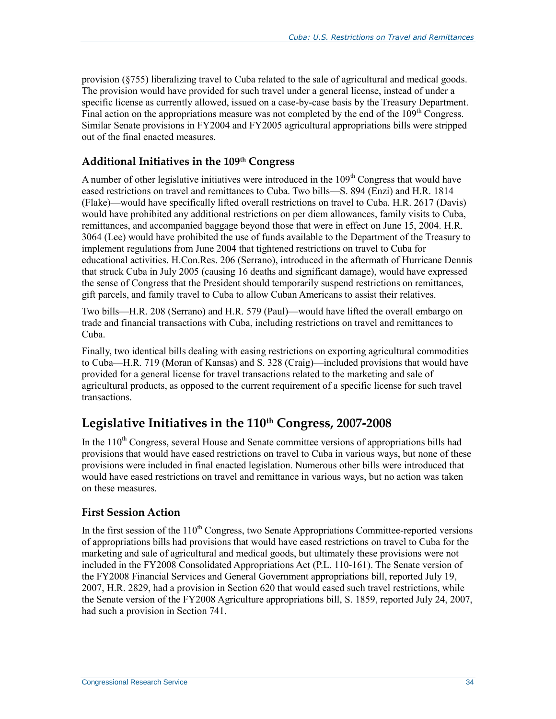provision (§755) liberalizing travel to Cuba related to the sale of agricultural and medical goods. The provision would have provided for such travel under a general license, instead of under a specific license as currently allowed, issued on a case-by-case basis by the Treasury Department. Final action on the appropriations measure was not completed by the end of the  $109<sup>th</sup>$  Congress. Similar Senate provisions in FY2004 and FY2005 agricultural appropriations bills were stripped out of the final enacted measures.

#### **Additional Initiatives in the 109th Congress**

A number of other legislative initiatives were introduced in the  $109<sup>th</sup>$  Congress that would have eased restrictions on travel and remittances to Cuba. Two bills—S. 894 (Enzi) and H.R. 1814 (Flake)—would have specifically lifted overall restrictions on travel to Cuba. H.R. 2617 (Davis) would have prohibited any additional restrictions on per diem allowances, family visits to Cuba, remittances, and accompanied baggage beyond those that were in effect on June 15, 2004. H.R. 3064 (Lee) would have prohibited the use of funds available to the Department of the Treasury to implement regulations from June 2004 that tightened restrictions on travel to Cuba for educational activities. H.Con.Res. 206 (Serrano), introduced in the aftermath of Hurricane Dennis that struck Cuba in July 2005 (causing 16 deaths and significant damage), would have expressed the sense of Congress that the President should temporarily suspend restrictions on remittances, gift parcels, and family travel to Cuba to allow Cuban Americans to assist their relatives.

Two bills—H.R. 208 (Serrano) and H.R. 579 (Paul)—would have lifted the overall embargo on trade and financial transactions with Cuba, including restrictions on travel and remittances to Cuba.

Finally, two identical bills dealing with easing restrictions on exporting agricultural commodities to Cuba—H.R. 719 (Moran of Kansas) and S. 328 (Craig)—included provisions that would have provided for a general license for travel transactions related to the marketing and sale of agricultural products, as opposed to the current requirement of a specific license for such travel transactions.

### **Legislative Initiatives in the 110th Congress, 2007-2008**

In the 110<sup>th</sup> Congress, several House and Senate committee versions of appropriations bills had provisions that would have eased restrictions on travel to Cuba in various ways, but none of these provisions were included in final enacted legislation. Numerous other bills were introduced that would have eased restrictions on travel and remittance in various ways, but no action was taken on these measures.

#### **First Session Action**

In the first session of the 110<sup>th</sup> Congress, two Senate Appropriations Committee-reported versions of appropriations bills had provisions that would have eased restrictions on travel to Cuba for the marketing and sale of agricultural and medical goods, but ultimately these provisions were not included in the FY2008 Consolidated Appropriations Act (P.L. 110-161). The Senate version of the FY2008 Financial Services and General Government appropriations bill, reported July 19, 2007, H.R. 2829, had a provision in Section 620 that would eased such travel restrictions, while the Senate version of the FY2008 Agriculture appropriations bill, S. 1859, reported July 24, 2007, had such a provision in Section 741.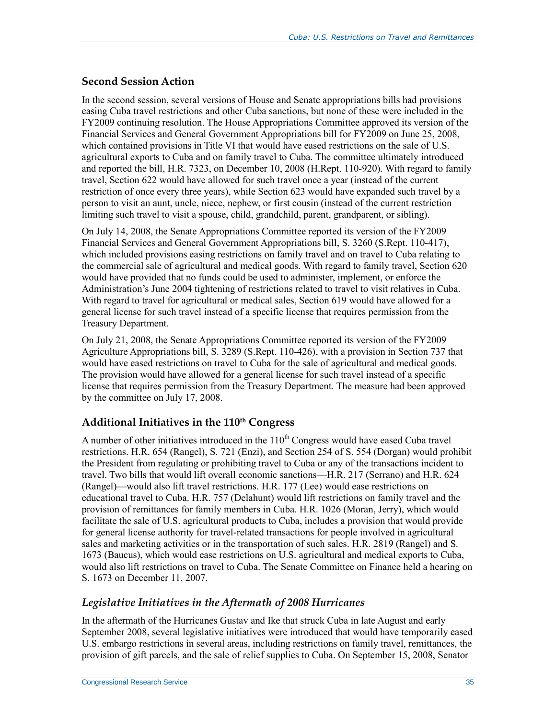#### **Second Session Action**

In the second session, several versions of House and Senate appropriations bills had provisions easing Cuba travel restrictions and other Cuba sanctions, but none of these were included in the FY2009 continuing resolution. The House Appropriations Committee approved its version of the Financial Services and General Government Appropriations bill for FY2009 on June 25, 2008, which contained provisions in Title VI that would have eased restrictions on the sale of U.S. agricultural exports to Cuba and on family travel to Cuba. The committee ultimately introduced and reported the bill, H.R. 7323, on December 10, 2008 (H.Rept. 110-920). With regard to family travel, Section 622 would have allowed for such travel once a year (instead of the current restriction of once every three years), while Section 623 would have expanded such travel by a person to visit an aunt, uncle, niece, nephew, or first cousin (instead of the current restriction limiting such travel to visit a spouse, child, grandchild, parent, grandparent, or sibling).

On July 14, 2008, the Senate Appropriations Committee reported its version of the FY2009 Financial Services and General Government Appropriations bill, S. 3260 (S.Rept. 110-417), which included provisions easing restrictions on family travel and on travel to Cuba relating to the commercial sale of agricultural and medical goods. With regard to family travel, Section 620 would have provided that no funds could be used to administer, implement, or enforce the Administration's June 2004 tightening of restrictions related to travel to visit relatives in Cuba. With regard to travel for agricultural or medical sales, Section 619 would have allowed for a general license for such travel instead of a specific license that requires permission from the Treasury Department.

On July 21, 2008, the Senate Appropriations Committee reported its version of the FY2009 Agriculture Appropriations bill, S. 3289 (S.Rept. 110-426), with a provision in Section 737 that would have eased restrictions on travel to Cuba for the sale of agricultural and medical goods. The provision would have allowed for a general license for such travel instead of a specific license that requires permission from the Treasury Department. The measure had been approved by the committee on July 17, 2008.

#### **Additional Initiatives in the 110th Congress**

A number of other initiatives introduced in the  $110<sup>th</sup>$  Congress would have eased Cuba travel restrictions. H.R. 654 (Rangel), S. 721 (Enzi), and Section 254 of S. 554 (Dorgan) would prohibit the President from regulating or prohibiting travel to Cuba or any of the transactions incident to travel. Two bills that would lift overall economic sanctions—H.R. 217 (Serrano) and H.R. 624 (Rangel)—would also lift travel restrictions. H.R. 177 (Lee) would ease restrictions on educational travel to Cuba. H.R. 757 (Delahunt) would lift restrictions on family travel and the provision of remittances for family members in Cuba. H.R. 1026 (Moran, Jerry), which would facilitate the sale of U.S. agricultural products to Cuba, includes a provision that would provide for general license authority for travel-related transactions for people involved in agricultural sales and marketing activities or in the transportation of such sales. H.R. 2819 (Rangel) and S. 1673 (Baucus), which would ease restrictions on U.S. agricultural and medical exports to Cuba, would also lift restrictions on travel to Cuba. The Senate Committee on Finance held a hearing on S. 1673 on December 11, 2007.

#### *Legislative Initiatives in the Aftermath of 2008 Hurricanes*

In the aftermath of the Hurricanes Gustav and Ike that struck Cuba in late August and early September 2008, several legislative initiatives were introduced that would have temporarily eased U.S. embargo restrictions in several areas, including restrictions on family travel, remittances, the provision of gift parcels, and the sale of relief supplies to Cuba. On September 15, 2008, Senator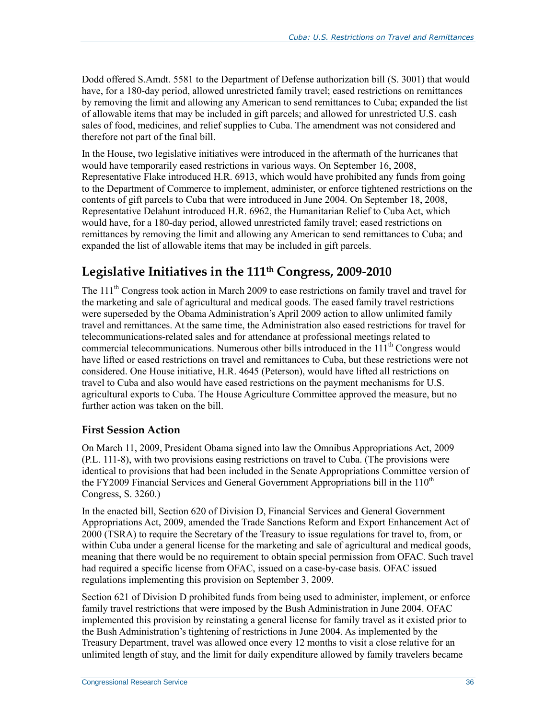Dodd offered S.Amdt. 5581 to the Department of Defense authorization bill (S. 3001) that would have, for a 180-day period, allowed unrestricted family travel; eased restrictions on remittances by removing the limit and allowing any American to send remittances to Cuba; expanded the list of allowable items that may be included in gift parcels; and allowed for unrestricted U.S. cash sales of food, medicines, and relief supplies to Cuba. The amendment was not considered and therefore not part of the final bill.

In the House, two legislative initiatives were introduced in the aftermath of the hurricanes that would have temporarily eased restrictions in various ways. On September 16, 2008, Representative Flake introduced H.R. 6913, which would have prohibited any funds from going to the Department of Commerce to implement, administer, or enforce tightened restrictions on the contents of gift parcels to Cuba that were introduced in June 2004. On September 18, 2008, Representative Delahunt introduced H.R. 6962, the Humanitarian Relief to Cuba Act, which would have, for a 180-day period, allowed unrestricted family travel; eased restrictions on remittances by removing the limit and allowing any American to send remittances to Cuba; and expanded the list of allowable items that may be included in gift parcels.

## **Legislative Initiatives in the 111th Congress, 2009-2010**

The 111<sup>th</sup> Congress took action in March 2009 to ease restrictions on family travel and travel for the marketing and sale of agricultural and medical goods. The eased family travel restrictions were superseded by the Obama Administration's April 2009 action to allow unlimited family travel and remittances. At the same time, the Administration also eased restrictions for travel for telecommunications-related sales and for attendance at professional meetings related to commercial telecommunications. Numerous other bills introduced in the  $111<sup>th</sup>$  Congress would have lifted or eased restrictions on travel and remittances to Cuba, but these restrictions were not considered. One House initiative, H.R. 4645 (Peterson), would have lifted all restrictions on travel to Cuba and also would have eased restrictions on the payment mechanisms for U.S. agricultural exports to Cuba. The House Agriculture Committee approved the measure, but no further action was taken on the bill.

#### **First Session Action**

On March 11, 2009, President Obama signed into law the Omnibus Appropriations Act, 2009 (P.L. 111-8), with two provisions easing restrictions on travel to Cuba. (The provisions were identical to provisions that had been included in the Senate Appropriations Committee version of the FY2009 Financial Services and General Government Appropriations bill in the  $110<sup>th</sup>$ Congress, S. 3260.)

In the enacted bill, Section 620 of Division D, Financial Services and General Government Appropriations Act, 2009, amended the Trade Sanctions Reform and Export Enhancement Act of 2000 (TSRA) to require the Secretary of the Treasury to issue regulations for travel to, from, or within Cuba under a general license for the marketing and sale of agricultural and medical goods, meaning that there would be no requirement to obtain special permission from OFAC. Such travel had required a specific license from OFAC, issued on a case-by-case basis. OFAC issued regulations implementing this provision on September 3, 2009.

Section 621 of Division D prohibited funds from being used to administer, implement, or enforce family travel restrictions that were imposed by the Bush Administration in June 2004. OFAC implemented this provision by reinstating a general license for family travel as it existed prior to the Bush Administration's tightening of restrictions in June 2004. As implemented by the Treasury Department, travel was allowed once every 12 months to visit a close relative for an unlimited length of stay, and the limit for daily expenditure allowed by family travelers became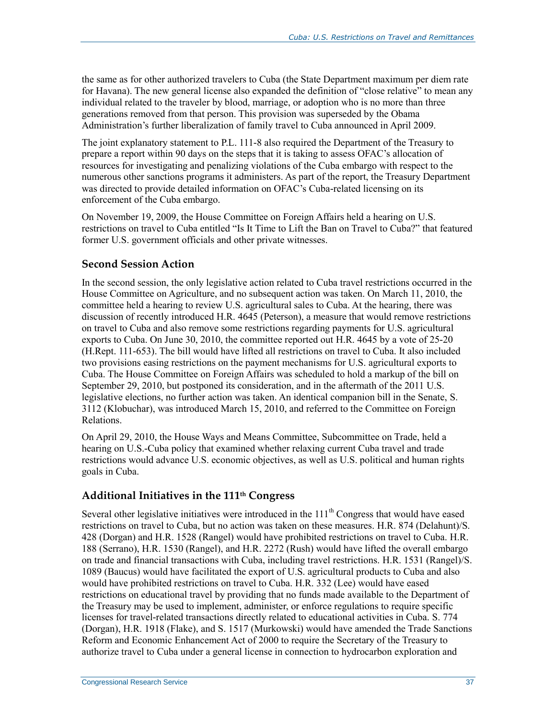the same as for other authorized travelers to Cuba (the State Department maximum per diem rate for Havana). The new general license also expanded the definition of "close relative" to mean any individual related to the traveler by blood, marriage, or adoption who is no more than three generations removed from that person. This provision was superseded by the Obama Administration's further liberalization of family travel to Cuba announced in April 2009.

The joint explanatory statement to P.L. 111-8 also required the Department of the Treasury to prepare a report within 90 days on the steps that it is taking to assess OFAC's allocation of resources for investigating and penalizing violations of the Cuba embargo with respect to the numerous other sanctions programs it administers. As part of the report, the Treasury Department was directed to provide detailed information on OFAC's Cuba-related licensing on its enforcement of the Cuba embargo.

On November 19, 2009, the House Committee on Foreign Affairs held a hearing on U.S. restrictions on travel to Cuba entitled "Is It Time to Lift the Ban on Travel to Cuba?" that featured former U.S. government officials and other private witnesses.

#### **Second Session Action**

In the second session, the only legislative action related to Cuba travel restrictions occurred in the House Committee on Agriculture, and no subsequent action was taken. On March 11, 2010, the committee held a hearing to review U.S. agricultural sales to Cuba. At the hearing, there was discussion of recently introduced H.R. 4645 (Peterson), a measure that would remove restrictions on travel to Cuba and also remove some restrictions regarding payments for U.S. agricultural exports to Cuba. On June 30, 2010, the committee reported out H.R. 4645 by a vote of 25-20 (H.Rept. 111-653). The bill would have lifted all restrictions on travel to Cuba. It also included two provisions easing restrictions on the payment mechanisms for U.S. agricultural exports to Cuba. The House Committee on Foreign Affairs was scheduled to hold a markup of the bill on September 29, 2010, but postponed its consideration, and in the aftermath of the 2011 U.S. legislative elections, no further action was taken. An identical companion bill in the Senate, S. 3112 (Klobuchar), was introduced March 15, 2010, and referred to the Committee on Foreign Relations.

On April 29, 2010, the House Ways and Means Committee, Subcommittee on Trade, held a hearing on U.S.-Cuba policy that examined whether relaxing current Cuba travel and trade restrictions would advance U.S. economic objectives, as well as U.S. political and human rights goals in Cuba.

#### **Additional Initiatives in the 111th Congress**

Several other legislative initiatives were introduced in the 111<sup>th</sup> Congress that would have eased restrictions on travel to Cuba, but no action was taken on these measures. H.R. 874 (Delahunt)/S. 428 (Dorgan) and H.R. 1528 (Rangel) would have prohibited restrictions on travel to Cuba. H.R. 188 (Serrano), H.R. 1530 (Rangel), and H.R. 2272 (Rush) would have lifted the overall embargo on trade and financial transactions with Cuba, including travel restrictions. H.R. 1531 (Rangel)/S. 1089 (Baucus) would have facilitated the export of U.S. agricultural products to Cuba and also would have prohibited restrictions on travel to Cuba. H.R. 332 (Lee) would have eased restrictions on educational travel by providing that no funds made available to the Department of the Treasury may be used to implement, administer, or enforce regulations to require specific licenses for travel-related transactions directly related to educational activities in Cuba. S. 774 (Dorgan), H.R. 1918 (Flake), and S. 1517 (Murkowski) would have amended the Trade Sanctions Reform and Economic Enhancement Act of 2000 to require the Secretary of the Treasury to authorize travel to Cuba under a general license in connection to hydrocarbon exploration and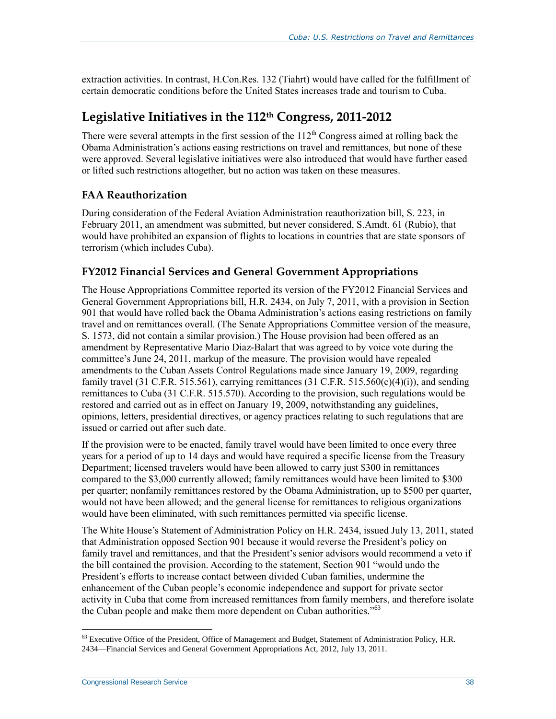extraction activities. In contrast, H.Con.Res. 132 (Tiahrt) would have called for the fulfillment of certain democratic conditions before the United States increases trade and tourism to Cuba.

### **Legislative Initiatives in the 112th Congress, 2011-2012**

There were several attempts in the first session of the  $112<sup>th</sup>$  Congress aimed at rolling back the Obama Administration's actions easing restrictions on travel and remittances, but none of these were approved. Several legislative initiatives were also introduced that would have further eased or lifted such restrictions altogether, but no action was taken on these measures.

#### **FAA Reauthorization**

During consideration of the Federal Aviation Administration reauthorization bill, S. 223, in February 2011, an amendment was submitted, but never considered, S.Amdt. 61 (Rubio), that would have prohibited an expansion of flights to locations in countries that are state sponsors of terrorism (which includes Cuba).

#### **FY2012 Financial Services and General Government Appropriations**

The House Appropriations Committee reported its version of the FY2012 Financial Services and General Government Appropriations bill, H.R. 2434, on July 7, 2011, with a provision in Section 901 that would have rolled back the Obama Administration's actions easing restrictions on family travel and on remittances overall. (The Senate Appropriations Committee version of the measure, S. 1573, did not contain a similar provision.) The House provision had been offered as an amendment by Representative Mario Diaz-Balart that was agreed to by voice vote during the committee's June 24, 2011, markup of the measure. The provision would have repealed amendments to the Cuban Assets Control Regulations made since January 19, 2009, regarding family travel (31 C.F.R. 515.561), carrying remittances (31 C.F.R. 515.560(c)(4)(i)), and sending remittances to Cuba (31 C.F.R. 515.570). According to the provision, such regulations would be restored and carried out as in effect on January 19, 2009, notwithstanding any guidelines, opinions, letters, presidential directives, or agency practices relating to such regulations that are issued or carried out after such date.

If the provision were to be enacted, family travel would have been limited to once every three years for a period of up to 14 days and would have required a specific license from the Treasury Department; licensed travelers would have been allowed to carry just \$300 in remittances compared to the \$3,000 currently allowed; family remittances would have been limited to \$300 per quarter; nonfamily remittances restored by the Obama Administration, up to \$500 per quarter, would not have been allowed; and the general license for remittances to religious organizations would have been eliminated, with such remittances permitted via specific license.

The White House's Statement of Administration Policy on H.R. 2434, issued July 13, 2011, stated that Administration opposed Section 901 because it would reverse the President's policy on family travel and remittances, and that the President's senior advisors would recommend a veto if the bill contained the provision. According to the statement, Section 901 "would undo the President's efforts to increase contact between divided Cuban families, undermine the enhancement of the Cuban people's economic independence and support for private sector activity in Cuba that come from increased remittances from family members, and therefore isolate the Cuban people and make them more dependent on Cuban authorities."<sup>63</sup>

<sup>&</sup>lt;sup>63</sup> Executive Office of the President, Office of Management and Budget, Statement of Administration Policy, H.R. 2434—Financial Services and General Government Appropriations Act, 2012, July 13, 2011.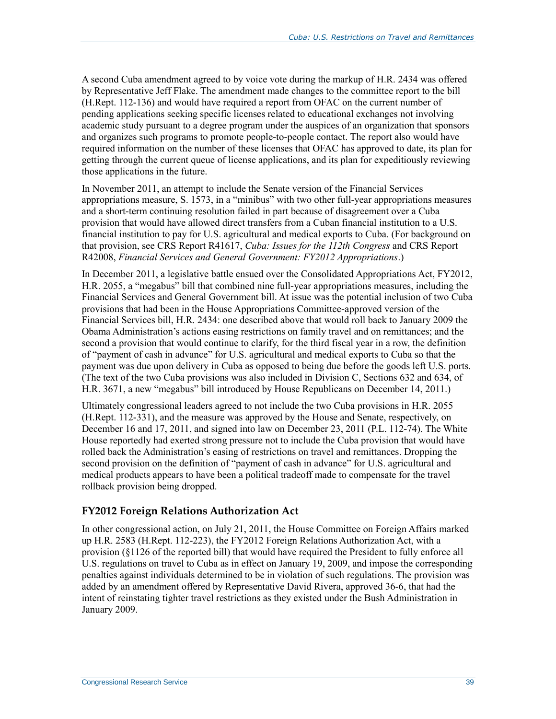A second Cuba amendment agreed to by voice vote during the markup of H.R. 2434 was offered by Representative Jeff Flake. The amendment made changes to the committee report to the bill (H.Rept. 112-136) and would have required a report from OFAC on the current number of pending applications seeking specific licenses related to educational exchanges not involving academic study pursuant to a degree program under the auspices of an organization that sponsors and organizes such programs to promote people-to-people contact. The report also would have required information on the number of these licenses that OFAC has approved to date, its plan for getting through the current queue of license applications, and its plan for expeditiously reviewing those applications in the future.

In November 2011, an attempt to include the Senate version of the Financial Services appropriations measure, S. 1573, in a "minibus" with two other full-year appropriations measures and a short-term continuing resolution failed in part because of disagreement over a Cuba provision that would have allowed direct transfers from a Cuban financial institution to a U.S. financial institution to pay for U.S. agricultural and medical exports to Cuba. (For background on that provision, see CRS Report R41617, *Cuba: Issues for the 112th Congress* and CRS Report R42008, *Financial Services and General Government: FY2012 Appropriations*.)

In December 2011, a legislative battle ensued over the Consolidated Appropriations Act, FY2012, H.R. 2055, a "megabus" bill that combined nine full-year appropriations measures, including the Financial Services and General Government bill. At issue was the potential inclusion of two Cuba provisions that had been in the House Appropriations Committee-approved version of the Financial Services bill, H.R. 2434: one described above that would roll back to January 2009 the Obama Administration's actions easing restrictions on family travel and on remittances; and the second a provision that would continue to clarify, for the third fiscal year in a row, the definition of "payment of cash in advance" for U.S. agricultural and medical exports to Cuba so that the payment was due upon delivery in Cuba as opposed to being due before the goods left U.S. ports. (The text of the two Cuba provisions was also included in Division C, Sections 632 and 634, of H.R. 3671, a new "megabus" bill introduced by House Republicans on December 14, 2011.)

Ultimately congressional leaders agreed to not include the two Cuba provisions in H.R. 2055 (H.Rept. 112-331), and the measure was approved by the House and Senate, respectively, on December 16 and 17, 2011, and signed into law on December 23, 2011 (P.L. 112-74). The White House reportedly had exerted strong pressure not to include the Cuba provision that would have rolled back the Administration's easing of restrictions on travel and remittances. Dropping the second provision on the definition of "payment of cash in advance" for U.S. agricultural and medical products appears to have been a political tradeoff made to compensate for the travel rollback provision being dropped.

#### **FY2012 Foreign Relations Authorization Act**

In other congressional action, on July 21, 2011, the House Committee on Foreign Affairs marked up H.R. 2583 (H.Rept. 112-223), the FY2012 Foreign Relations Authorization Act, with a provision (§1126 of the reported bill) that would have required the President to fully enforce all U.S. regulations on travel to Cuba as in effect on January 19, 2009, and impose the corresponding penalties against individuals determined to be in violation of such regulations. The provision was added by an amendment offered by Representative David Rivera, approved 36-6, that had the intent of reinstating tighter travel restrictions as they existed under the Bush Administration in January 2009.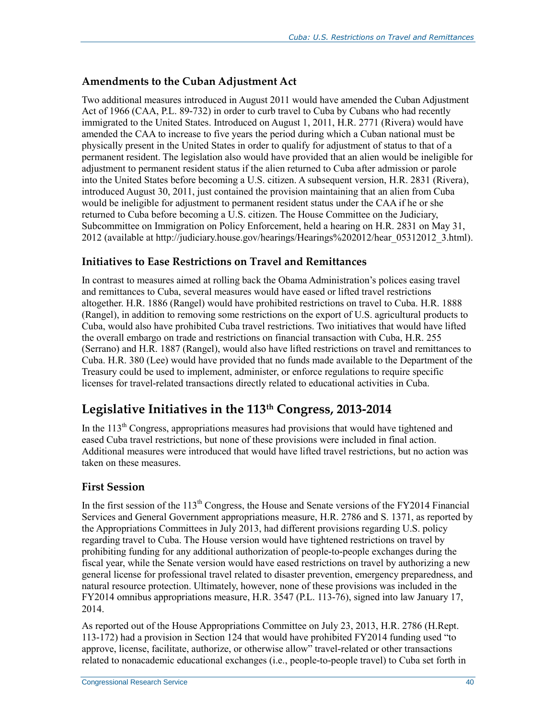#### **Amendments to the Cuban Adjustment Act**

Two additional measures introduced in August 2011 would have amended the Cuban Adjustment Act of 1966 (CAA, P.L. 89-732) in order to curb travel to Cuba by Cubans who had recently immigrated to the United States. Introduced on August 1, 2011, H.R. 2771 (Rivera) would have amended the CAA to increase to five years the period during which a Cuban national must be physically present in the United States in order to qualify for adjustment of status to that of a permanent resident. The legislation also would have provided that an alien would be ineligible for adjustment to permanent resident status if the alien returned to Cuba after admission or parole into the United States before becoming a U.S. citizen. A subsequent version, H.R. 2831 (Rivera), introduced August 30, 2011, just contained the provision maintaining that an alien from Cuba would be ineligible for adjustment to permanent resident status under the CAA if he or she returned to Cuba before becoming a U.S. citizen. The House Committee on the Judiciary, Subcommittee on Immigration on Policy Enforcement, held a hearing on H.R. 2831 on May 31, 2012 (available at http://judiciary.house.gov/hearings/Hearings%202012/hear\_05312012\_3.html).

#### **Initiatives to Ease Restrictions on Travel and Remittances**

In contrast to measures aimed at rolling back the Obama Administration's polices easing travel and remittances to Cuba, several measures would have eased or lifted travel restrictions altogether. H.R. 1886 (Rangel) would have prohibited restrictions on travel to Cuba. H.R. 1888 (Rangel), in addition to removing some restrictions on the export of U.S. agricultural products to Cuba, would also have prohibited Cuba travel restrictions. Two initiatives that would have lifted the overall embargo on trade and restrictions on financial transaction with Cuba, H.R. 255 (Serrano) and H.R. 1887 (Rangel), would also have lifted restrictions on travel and remittances to Cuba. H.R. 380 (Lee) would have provided that no funds made available to the Department of the Treasury could be used to implement, administer, or enforce regulations to require specific licenses for travel-related transactions directly related to educational activities in Cuba.

## **Legislative Initiatives in the 113th Congress, 2013-2014**

In the  $113<sup>th</sup>$  Congress, appropriations measures had provisions that would have tightened and eased Cuba travel restrictions, but none of these provisions were included in final action. Additional measures were introduced that would have lifted travel restrictions, but no action was taken on these measures.

#### **First Session**

In the first session of the  $113<sup>th</sup>$  Congress, the House and Senate versions of the FY2014 Financial Services and General Government appropriations measure, H.R. 2786 and S. 1371, as reported by the Appropriations Committees in July 2013, had different provisions regarding U.S. policy regarding travel to Cuba. The House version would have tightened restrictions on travel by prohibiting funding for any additional authorization of people-to-people exchanges during the fiscal year, while the Senate version would have eased restrictions on travel by authorizing a new general license for professional travel related to disaster prevention, emergency preparedness, and natural resource protection. Ultimately, however, none of these provisions was included in the FY2014 omnibus appropriations measure, H.R. 3547 (P.L. 113-76), signed into law January 17, 2014.

As reported out of the House Appropriations Committee on July 23, 2013, H.R. 2786 (H.Rept. 113-172) had a provision in Section 124 that would have prohibited FY2014 funding used "to approve, license, facilitate, authorize, or otherwise allow" travel-related or other transactions related to nonacademic educational exchanges (i.e., people-to-people travel) to Cuba set forth in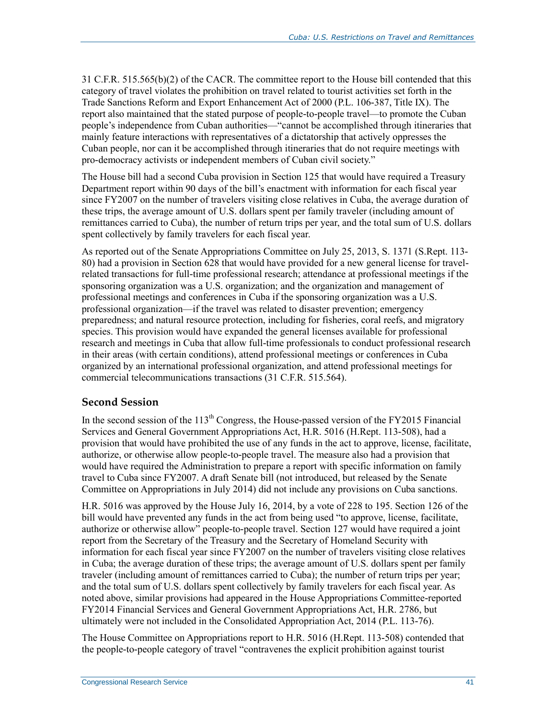31 C.F.R. 515.565(b)(2) of the CACR. The committee report to the House bill contended that this category of travel violates the prohibition on travel related to tourist activities set forth in the Trade Sanctions Reform and Export Enhancement Act of 2000 (P.L. 106-387, Title IX). The report also maintained that the stated purpose of people-to-people travel—to promote the Cuban people's independence from Cuban authorities—"cannot be accomplished through itineraries that mainly feature interactions with representatives of a dictatorship that actively oppresses the Cuban people, nor can it be accomplished through itineraries that do not require meetings with pro-democracy activists or independent members of Cuban civil society."

The House bill had a second Cuba provision in Section 125 that would have required a Treasury Department report within 90 days of the bill's enactment with information for each fiscal year since FY2007 on the number of travelers visiting close relatives in Cuba, the average duration of these trips, the average amount of U.S. dollars spent per family traveler (including amount of remittances carried to Cuba), the number of return trips per year, and the total sum of U.S. dollars spent collectively by family travelers for each fiscal year.

As reported out of the Senate Appropriations Committee on July 25, 2013, S. 1371 (S.Rept. 113- 80) had a provision in Section 628 that would have provided for a new general license for travelrelated transactions for full-time professional research; attendance at professional meetings if the sponsoring organization was a U.S. organization; and the organization and management of professional meetings and conferences in Cuba if the sponsoring organization was a U.S. professional organization—if the travel was related to disaster prevention; emergency preparedness; and natural resource protection, including for fisheries, coral reefs, and migratory species. This provision would have expanded the general licenses available for professional research and meetings in Cuba that allow full-time professionals to conduct professional research in their areas (with certain conditions), attend professional meetings or conferences in Cuba organized by an international professional organization, and attend professional meetings for commercial telecommunications transactions (31 C.F.R. 515.564).

#### **Second Session**

In the second session of the  $113<sup>th</sup>$  Congress, the House-passed version of the FY2015 Financial Services and General Government Appropriations Act, H.R. 5016 (H.Rept. 113-508), had a provision that would have prohibited the use of any funds in the act to approve, license, facilitate, authorize, or otherwise allow people-to-people travel. The measure also had a provision that would have required the Administration to prepare a report with specific information on family travel to Cuba since FY2007. A draft Senate bill (not introduced, but released by the Senate Committee on Appropriations in July 2014) did not include any provisions on Cuba sanctions.

H.R. 5016 was approved by the House July 16, 2014, by a vote of 228 to 195. Section 126 of the bill would have prevented any funds in the act from being used "to approve, license, facilitate, authorize or otherwise allow" people-to-people travel. Section 127 would have required a joint report from the Secretary of the Treasury and the Secretary of Homeland Security with information for each fiscal year since FY2007 on the number of travelers visiting close relatives in Cuba; the average duration of these trips; the average amount of U.S. dollars spent per family traveler (including amount of remittances carried to Cuba); the number of return trips per year; and the total sum of U.S. dollars spent collectively by family travelers for each fiscal year. As noted above, similar provisions had appeared in the House Appropriations Committee-reported FY2014 Financial Services and General Government Appropriations Act, H.R. 2786, but ultimately were not included in the Consolidated Appropriation Act, 2014 (P.L. 113-76).

The House Committee on Appropriations report to H.R. 5016 (H.Rept. 113-508) contended that the people-to-people category of travel "contravenes the explicit prohibition against tourist